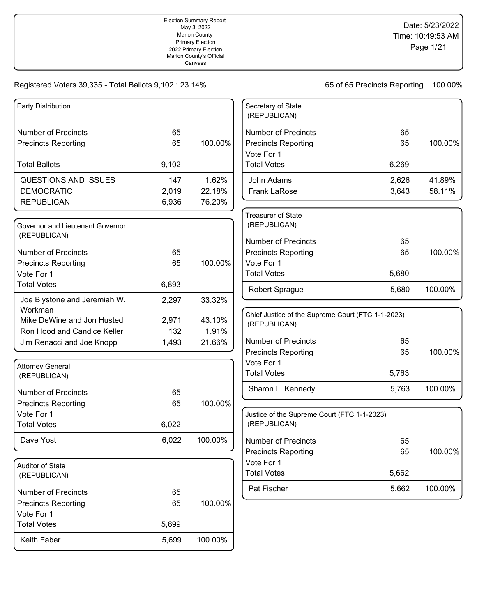## Registered Voters 39,335 - Total Ballots 9,102 : 23.14% 65 65 Of 65 Precincts Reporting 100.00%

| Party Distribution               |       |         | Secretary of State                                |       |         |
|----------------------------------|-------|---------|---------------------------------------------------|-------|---------|
|                                  |       |         | (REPUBLICAN)                                      |       |         |
| <b>Number of Precincts</b>       | 65    |         | <b>Number of Precincts</b>                        | 65    |         |
| <b>Precincts Reporting</b>       | 65    | 100.00% | <b>Precincts Reporting</b>                        | 65    | 100.00% |
|                                  |       |         | Vote For 1                                        |       |         |
| <b>Total Ballots</b>             | 9,102 |         | <b>Total Votes</b>                                | 6,269 |         |
| QUESTIONS AND ISSUES             | 147   | 1.62%   | John Adams                                        | 2,626 | 41.89%  |
| <b>DEMOCRATIC</b>                | 2,019 | 22.18%  | Frank LaRose                                      | 3,643 | 58.11%  |
| <b>REPUBLICAN</b>                | 6,936 | 76.20%  |                                                   |       |         |
|                                  |       |         | <b>Treasurer of State</b>                         |       |         |
| Governor and Lieutenant Governor |       |         | (REPUBLICAN)                                      |       |         |
| (REPUBLICAN)                     |       |         | <b>Number of Precincts</b>                        | 65    |         |
| <b>Number of Precincts</b>       | 65    |         | <b>Precincts Reporting</b>                        | 65    | 100.00% |
| <b>Precincts Reporting</b>       | 65    | 100.00% | Vote For 1                                        |       |         |
| Vote For 1                       |       |         | <b>Total Votes</b>                                | 5,680 |         |
| <b>Total Votes</b>               | 6,893 |         | Robert Sprague                                    | 5,680 | 100.00% |
| Joe Blystone and Jeremiah W.     | 2,297 | 33.32%  |                                                   |       |         |
| Workman                          |       |         | Chief Justice of the Supreme Court (FTC 1-1-2023) |       |         |
| Mike DeWine and Jon Husted       | 2,971 | 43.10%  | (REPUBLICAN)                                      |       |         |
| Ron Hood and Candice Keller      | 132   | 1.91%   |                                                   |       |         |
| Jim Renacci and Joe Knopp        | 1,493 | 21.66%  | <b>Number of Precincts</b>                        | 65    |         |
|                                  |       |         | <b>Precincts Reporting</b>                        | 65    | 100.00% |
| <b>Attorney General</b>          |       |         | Vote For 1<br><b>Total Votes</b>                  | 5,763 |         |
| (REPUBLICAN)                     |       |         |                                                   |       |         |
| <b>Number of Precincts</b>       | 65    |         | Sharon L. Kennedy                                 | 5,763 | 100.00% |
| <b>Precincts Reporting</b>       | 65    | 100.00% |                                                   |       |         |
| Vote For 1                       |       |         | Justice of the Supreme Court (FTC 1-1-2023)       |       |         |
| <b>Total Votes</b>               | 6,022 |         | (REPUBLICAN)                                      |       |         |
| Dave Yost                        | 6,022 | 100.00% | <b>Number of Precincts</b>                        | 65    |         |
|                                  |       |         | <b>Precincts Reporting</b>                        | 65    | 100.00% |
| Auditor of State                 |       |         | Vote For 1                                        |       |         |
| (REPUBLICAN)                     |       |         | <b>Total Votes</b>                                | 5,662 |         |
| <b>Number of Precincts</b>       | 65    |         | Pat Fischer                                       | 5,662 | 100.00% |
| <b>Precincts Reporting</b>       | 65    | 100.00% |                                                   |       |         |
| Vote For 1                       |       |         |                                                   |       |         |
| <b>Total Votes</b>               | 5,699 |         |                                                   |       |         |
| Keith Faber                      | 5,699 | 100.00% |                                                   |       |         |
|                                  |       |         |                                                   |       |         |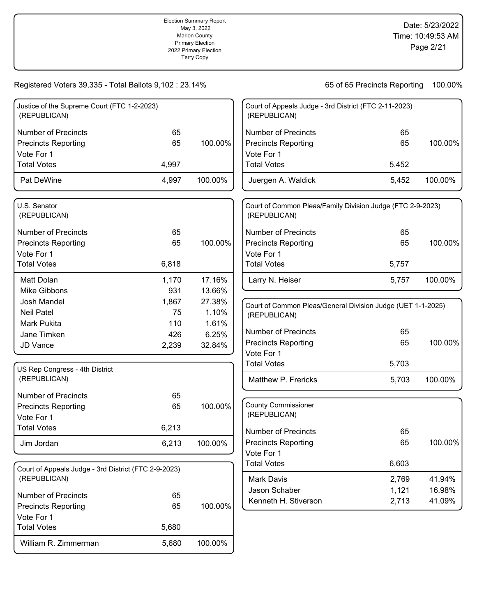## Registered Voters 39,335 - Total Ballots 9,102 : 23.14% 65 65 Of 65 Precincts Reporting 100.00%

William R. Zimmerman 5,680 100.00%

| Justice of the Supreme Court (FTC 1-2-2023)<br>(REPUBLICAN) |       |         | Court of Appeals Judge - 3rd District (FTC 2-11-2023)<br>(REPUBLICAN)      |       |         |
|-------------------------------------------------------------|-------|---------|----------------------------------------------------------------------------|-------|---------|
| <b>Number of Precincts</b>                                  | 65    |         | <b>Number of Precincts</b>                                                 | 65    |         |
| <b>Precincts Reporting</b>                                  | 65    | 100.00% | <b>Precincts Reporting</b>                                                 | 65    | 100.00% |
| Vote For 1                                                  |       |         | Vote For 1                                                                 |       |         |
| <b>Total Votes</b>                                          | 4,997 |         | <b>Total Votes</b>                                                         | 5,452 |         |
| Pat DeWine                                                  | 4,997 | 100.00% | Juergen A. Waldick                                                         | 5,452 | 100.00% |
| U.S. Senator<br>(REPUBLICAN)                                |       |         | Court of Common Pleas/Family Division Judge (FTC 2-9-2023)<br>(REPUBLICAN) |       |         |
| <b>Number of Precincts</b>                                  | 65    |         | <b>Number of Precincts</b>                                                 | 65    |         |
| <b>Precincts Reporting</b>                                  | 65    | 100.00% | <b>Precincts Reporting</b>                                                 | 65    | 100.00% |
| Vote For 1                                                  |       |         | Vote For 1                                                                 |       |         |
| <b>Total Votes</b>                                          | 6,818 |         | <b>Total Votes</b>                                                         | 5,757 |         |
| Matt Dolan                                                  | 1,170 | 17.16%  | Larry N. Heiser                                                            | 5,757 | 100.00% |
| Mike Gibbons                                                | 931   | 13.66%  |                                                                            |       |         |
| Josh Mandel                                                 | 1,867 | 27.38%  | Court of Common Pleas/General Division Judge (UET 1-1-2025)                |       |         |
| <b>Neil Patel</b>                                           | 75    | 1.10%   | (REPUBLICAN)                                                               |       |         |
| Mark Pukita                                                 | 110   | 1.61%   |                                                                            |       |         |
| Jane Timken                                                 | 426   | 6.25%   | <b>Number of Precincts</b>                                                 | 65    |         |
| JD Vance                                                    | 2,239 | 32.84%  | <b>Precincts Reporting</b>                                                 | 65    | 100.00% |
|                                                             |       |         | Vote For 1                                                                 |       |         |
| US Rep Congress - 4th District                              |       |         | <b>Total Votes</b>                                                         | 5,703 |         |
| (REPUBLICAN)                                                |       |         | Matthew P. Frericks                                                        | 5,703 | 100.00% |
| <b>Number of Precincts</b>                                  | 65    |         |                                                                            |       |         |
| <b>Precincts Reporting</b>                                  | 65    | 100.00% | <b>County Commissioner</b>                                                 |       |         |
| Vote For 1                                                  |       |         | (REPUBLICAN)                                                               |       |         |
| <b>Total Votes</b>                                          | 6,213 |         | <b>Number of Precincts</b>                                                 | 65    |         |
|                                                             | 6,213 | 100.00% | <b>Precincts Reporting</b>                                                 | 65    | 100.00% |
| Jim Jordan                                                  |       |         | Vote For 1                                                                 |       |         |
|                                                             |       |         | <b>Total Votes</b>                                                         | 6,603 |         |
| Court of Appeals Judge - 3rd District (FTC 2-9-2023)        |       |         |                                                                            |       |         |
| (REPUBLICAN)                                                |       |         | Mark Davis                                                                 | 2,769 | 41.94%  |
| <b>Number of Precincts</b>                                  | 65    |         | Jason Schaber                                                              | 1,121 | 16.98%  |
| <b>Precincts Reporting</b>                                  | 65    | 100.00% | Kenneth H. Stiverson                                                       | 2,713 | 41.09%  |
| Vote For 1                                                  |       |         |                                                                            |       |         |
| <b>Total Votes</b>                                          | 5,680 |         |                                                                            |       |         |
|                                                             |       |         |                                                                            |       |         |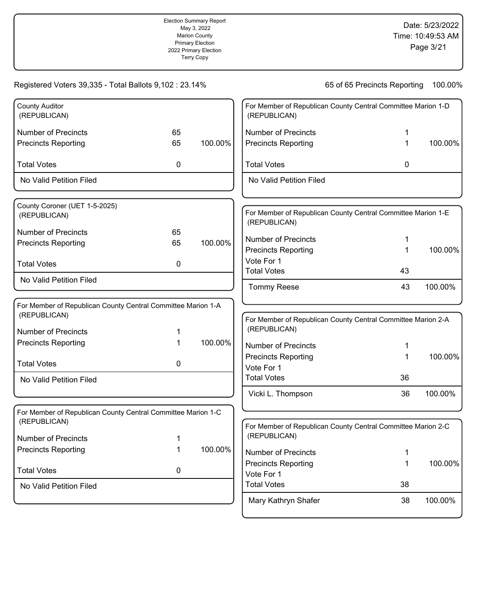|                                                                              |    | Election Summary Report<br>May 3, 2022<br><b>Marion County</b><br><b>Primary Election</b><br>2022 Primary Election<br>Marion County's Official<br>Canvass |                                                                              |                              | Date: 5/23/2022<br>Time: 10:49:53 AM<br>Page 3/21 |
|------------------------------------------------------------------------------|----|-----------------------------------------------------------------------------------------------------------------------------------------------------------|------------------------------------------------------------------------------|------------------------------|---------------------------------------------------|
| Registered Voters 39,335 - Total Ballots 9,102 : 23.14%                      |    |                                                                                                                                                           |                                                                              | 65 of 65 Precincts Reporting | 100.00%                                           |
| <b>County Auditor</b><br>(REPUBLICAN)                                        |    |                                                                                                                                                           | For Member of Republican County Central Committee Marion 1-D<br>(REPUBLICAN) |                              |                                                   |
| <b>Number of Precincts</b>                                                   | 65 |                                                                                                                                                           | <b>Number of Precincts</b>                                                   | 1                            |                                                   |
| <b>Precincts Reporting</b>                                                   | 65 | 100.00%                                                                                                                                                   | <b>Precincts Reporting</b>                                                   | 1                            | 100.00%                                           |
| <b>Total Votes</b>                                                           | 0  |                                                                                                                                                           | <b>Total Votes</b>                                                           | 0                            |                                                   |
| No Valid Petition Filed                                                      |    |                                                                                                                                                           | No Valid Petition Filed                                                      |                              |                                                   |
| County Coroner (UET 1-5-2025)<br>(REPUBLICAN)                                |    |                                                                                                                                                           | For Member of Republican County Central Committee Marion 1-E<br>(REPUBLICAN) |                              |                                                   |
| <b>Number of Precincts</b>                                                   | 65 |                                                                                                                                                           |                                                                              |                              |                                                   |
| <b>Precincts Reporting</b>                                                   | 65 | 100.00%                                                                                                                                                   | <b>Number of Precincts</b>                                                   | 1                            |                                                   |
|                                                                              |    |                                                                                                                                                           | <b>Precincts Reporting</b><br>Vote For 1                                     | 1                            | 100.00%                                           |
| <b>Total Votes</b>                                                           | 0  |                                                                                                                                                           | <b>Total Votes</b>                                                           | 43                           |                                                   |
| No Valid Petition Filed                                                      |    |                                                                                                                                                           | <b>Tommy Reese</b>                                                           | 43                           | 100.00%                                           |
| For Member of Republican County Central Committee Marion 1-A<br>(REPUBLICAN) |    |                                                                                                                                                           | For Member of Republican County Central Committee Marion 2-A                 |                              |                                                   |
| <b>Number of Precincts</b>                                                   |    |                                                                                                                                                           | (REPUBLICAN)                                                                 |                              |                                                   |
| <b>Precincts Reporting</b>                                                   | 1  | 100.00%                                                                                                                                                   | <b>Number of Precincts</b>                                                   | 1                            |                                                   |
|                                                                              |    |                                                                                                                                                           | <b>Precincts Reporting</b>                                                   | 1                            | 100.00%                                           |
| <b>Total Votes</b>                                                           | 0  |                                                                                                                                                           | Vote For 1                                                                   |                              |                                                   |
| No Valid Petition Filed                                                      |    |                                                                                                                                                           | <b>Total Votes</b>                                                           | 36                           |                                                   |
|                                                                              |    |                                                                                                                                                           | Vicki L. Thompson                                                            | 36                           | 100.00%                                           |
| For Member of Republican County Central Committee Marion 1-C<br>(REPUBLICAN) |    |                                                                                                                                                           | For Member of Republican County Central Committee Marion 2-C                 |                              |                                                   |
| <b>Number of Precincts</b>                                                   | 1  |                                                                                                                                                           | (REPUBLICAN)                                                                 |                              |                                                   |
| <b>Precincts Reporting</b>                                                   | 1  | 100.00%                                                                                                                                                   | <b>Number of Precincts</b>                                                   |                              |                                                   |
|                                                                              |    |                                                                                                                                                           | <b>Precincts Reporting</b>                                                   | 1                            | 100.00%                                           |
| <b>Total Votes</b>                                                           | 0  |                                                                                                                                                           | Vote For 1                                                                   |                              |                                                   |
| No Valid Petition Filed                                                      |    |                                                                                                                                                           | <b>Total Votes</b>                                                           | 38                           |                                                   |
|                                                                              |    |                                                                                                                                                           | Mary Kathryn Shafer                                                          | 38                           | 100.00%                                           |

Election Summary Report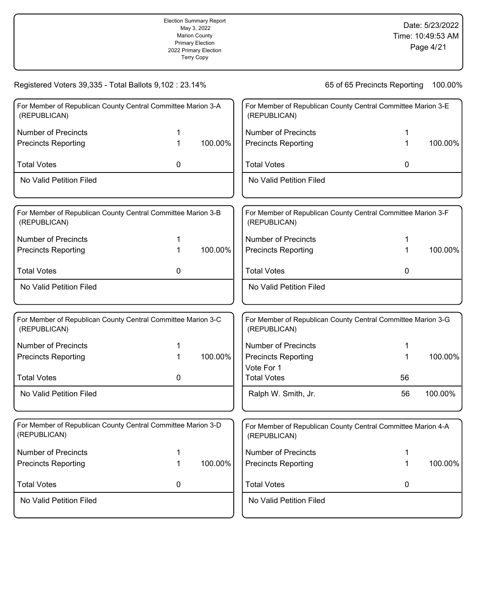|                                                                              |   | <b>Election Summary Report</b><br>May 3, 2022<br><b>Marion County</b><br><b>Primary Election</b><br>2022 Primary Election<br>Marion County's Official<br>Canvass |                                          |                                                              | Date: 5/23/2022<br>Time: 10:49:53 AM<br>Page 4/21 |
|------------------------------------------------------------------------------|---|------------------------------------------------------------------------------------------------------------------------------------------------------------------|------------------------------------------|--------------------------------------------------------------|---------------------------------------------------|
| Registered Voters 39,335 - Total Ballots 9,102 : 23.14%                      |   |                                                                                                                                                                  |                                          | 65 of 65 Precincts Reporting                                 | 100.00%                                           |
| For Member of Republican County Central Committee Marion 3-A<br>(REPUBLICAN) |   |                                                                                                                                                                  | (REPUBLICAN)                             | For Member of Republican County Central Committee Marion 3-E |                                                   |
| <b>Number of Precincts</b>                                                   | 1 |                                                                                                                                                                  | <b>Number of Precincts</b>               | 1                                                            |                                                   |
| <b>Precincts Reporting</b>                                                   | 1 | 100.00%                                                                                                                                                          | <b>Precincts Reporting</b>               | 1                                                            | 100.00%                                           |
| <b>Total Votes</b>                                                           | 0 |                                                                                                                                                                  | <b>Total Votes</b>                       | 0                                                            |                                                   |
| No Valid Petition Filed                                                      |   |                                                                                                                                                                  | No Valid Petition Filed                  |                                                              |                                                   |
|                                                                              |   |                                                                                                                                                                  |                                          |                                                              |                                                   |
| For Member of Republican County Central Committee Marion 3-B<br>(REPUBLICAN) |   |                                                                                                                                                                  | (REPUBLICAN)                             | For Member of Republican County Central Committee Marion 3-F |                                                   |
| <b>Number of Precincts</b>                                                   | 1 |                                                                                                                                                                  | <b>Number of Precincts</b>               | 1                                                            |                                                   |
| <b>Precincts Reporting</b>                                                   | 1 | 100.00%                                                                                                                                                          | <b>Precincts Reporting</b>               | 1                                                            | 100.00%                                           |
| <b>Total Votes</b>                                                           | 0 |                                                                                                                                                                  | <b>Total Votes</b>                       | 0                                                            |                                                   |
| No Valid Petition Filed                                                      |   |                                                                                                                                                                  | No Valid Petition Filed                  |                                                              |                                                   |
| For Member of Republican County Central Committee Marion 3-C<br>(REPUBLICAN) |   |                                                                                                                                                                  | (REPUBLICAN)                             | For Member of Republican County Central Committee Marion 3-G |                                                   |
| <b>Number of Precincts</b>                                                   | 1 |                                                                                                                                                                  | <b>Number of Precincts</b>               |                                                              |                                                   |
| <b>Precincts Reporting</b>                                                   | 1 | 100.00%                                                                                                                                                          | <b>Precincts Reporting</b><br>Vote For 1 | 1                                                            | 100.00%                                           |
| <b>Total Votes</b>                                                           | 0 |                                                                                                                                                                  | <b>Total Votes</b>                       | 56                                                           |                                                   |
| No Valid Petition Filed                                                      |   |                                                                                                                                                                  | Ralph W. Smith, Jr.                      | 56                                                           | 100.00%                                           |
| For Member of Republican County Central Committee Marion 3-D<br>(REPUBLICAN) |   |                                                                                                                                                                  | (REPUBLICAN)                             | For Member of Republican County Central Committee Marion 4-A |                                                   |
| <b>Number of Precincts</b>                                                   | 1 |                                                                                                                                                                  | <b>Number of Precincts</b>               | 1                                                            |                                                   |
| <b>Precincts Reporting</b>                                                   | 1 | 100.00%                                                                                                                                                          | <b>Precincts Reporting</b>               | 1                                                            | 100.00%                                           |
| <b>Total Votes</b>                                                           | 0 |                                                                                                                                                                  | <b>Total Votes</b>                       | 0                                                            |                                                   |
| No Valid Petition Filed                                                      |   |                                                                                                                                                                  | No Valid Petition Filed                  |                                                              |                                                   |
|                                                                              |   |                                                                                                                                                                  |                                          |                                                              |                                                   |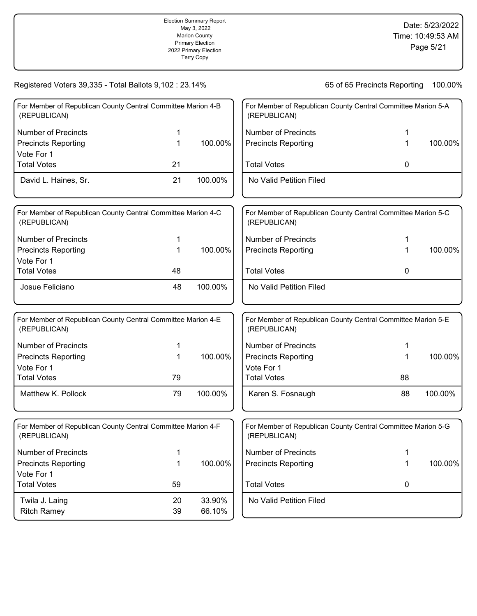|                                                                              |              | <b>Election Summary Report</b><br>May 3, 2022<br><b>Marion County</b><br><b>Primary Election</b><br>2022 Primary Election<br>Marion County's Official<br>Canvass |                            |                                                              | Date: 5/23/2022<br>Time: 10:49:53 AM<br>Page 5/21 |
|------------------------------------------------------------------------------|--------------|------------------------------------------------------------------------------------------------------------------------------------------------------------------|----------------------------|--------------------------------------------------------------|---------------------------------------------------|
| Registered Voters 39,335 - Total Ballots 9,102 : 23.14%                      |              |                                                                                                                                                                  |                            | 65 of 65 Precincts Reporting                                 | 100.00%                                           |
| For Member of Republican County Central Committee Marion 4-B<br>(REPUBLICAN) |              |                                                                                                                                                                  | (REPUBLICAN)               | For Member of Republican County Central Committee Marion 5-A |                                                   |
| <b>Number of Precincts</b>                                                   | 1            |                                                                                                                                                                  | <b>Number of Precincts</b> | 1                                                            |                                                   |
| <b>Precincts Reporting</b><br>Vote For 1                                     | 1            | 100.00%                                                                                                                                                          | <b>Precincts Reporting</b> | 1                                                            | 100.00%                                           |
| <b>Total Votes</b>                                                           | 21           |                                                                                                                                                                  | <b>Total Votes</b>         | 0                                                            |                                                   |
| David L. Haines, Sr.                                                         | 21           | 100.00%                                                                                                                                                          | No Valid Petition Filed    |                                                              |                                                   |
| For Member of Republican County Central Committee Marion 4-C<br>(REPUBLICAN) |              |                                                                                                                                                                  | (REPUBLICAN)               | For Member of Republican County Central Committee Marion 5-C |                                                   |
| <b>Number of Precincts</b>                                                   | 1            |                                                                                                                                                                  | <b>Number of Precincts</b> | 1                                                            |                                                   |
| <b>Precincts Reporting</b>                                                   | $\mathbf{1}$ | 100.00%                                                                                                                                                          | <b>Precincts Reporting</b> | 1                                                            | 100.00%                                           |
| Vote For 1                                                                   |              |                                                                                                                                                                  |                            |                                                              |                                                   |
| <b>Total Votes</b>                                                           | 48           |                                                                                                                                                                  | <b>Total Votes</b>         | 0                                                            |                                                   |
| Josue Feliciano                                                              | 48           | 100.00%                                                                                                                                                          | No Valid Petition Filed    |                                                              |                                                   |
| For Member of Republican County Central Committee Marion 4-E<br>(REPUBLICAN) |              |                                                                                                                                                                  | (REPUBLICAN)               | For Member of Republican County Central Committee Marion 5-E |                                                   |
| <b>Number of Precincts</b>                                                   | 1            |                                                                                                                                                                  | <b>Number of Precincts</b> | 1                                                            |                                                   |
| <b>Precincts Reporting</b>                                                   | 1            | 100.00%                                                                                                                                                          | <b>Precincts Reporting</b> | 1                                                            | 100.00%                                           |
| Vote For 1                                                                   |              |                                                                                                                                                                  | Vote For 1                 |                                                              |                                                   |
| <b>Total Votes</b>                                                           | 79           |                                                                                                                                                                  | <b>Total Votes</b>         | 88                                                           |                                                   |
| Matthew K. Pollock                                                           | 79           | 100.00%                                                                                                                                                          | Karen S. Fosnaugh          | 88                                                           | 100.00%                                           |
| For Member of Republican County Central Committee Marion 4-F<br>(REPUBLICAN) |              |                                                                                                                                                                  | (REPUBLICAN)               | For Member of Republican County Central Committee Marion 5-G |                                                   |
| <b>Number of Precincts</b>                                                   | 1            |                                                                                                                                                                  | <b>Number of Precincts</b> | 1                                                            |                                                   |
| <b>Precincts Reporting</b><br>Vote For 1                                     | 1            | 100.00%                                                                                                                                                          | <b>Precincts Reporting</b> | 1                                                            | 100.00%                                           |
| <b>Total Votes</b>                                                           | 59           |                                                                                                                                                                  | <b>Total Votes</b>         | 0                                                            |                                                   |
| Twila J. Laing<br><b>Ritch Ramey</b>                                         | 20<br>39     | 33.90%<br>66.10%                                                                                                                                                 | No Valid Petition Filed    |                                                              |                                                   |
|                                                                              |              |                                                                                                                                                                  |                            |                                                              |                                                   |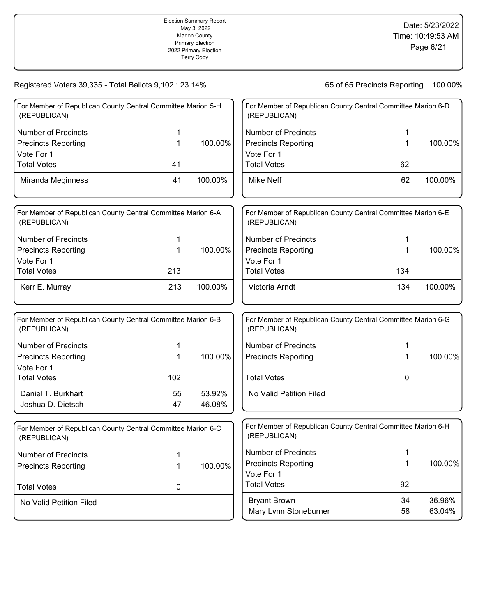|                                                                                              |               | <b>Election Summary Report</b><br>May 3, 2022<br><b>Marion County</b><br><b>Primary Election</b><br>2022 Primary Election<br>Marion County's Official<br>Canvass |                                                                                              |                                                              | Date: 5/23/2022<br>Time: 10:49:53 AM<br>Page 6/21 |
|----------------------------------------------------------------------------------------------|---------------|------------------------------------------------------------------------------------------------------------------------------------------------------------------|----------------------------------------------------------------------------------------------|--------------------------------------------------------------|---------------------------------------------------|
| Registered Voters 39,335 - Total Ballots 9,102 : 23.14%                                      |               |                                                                                                                                                                  |                                                                                              | 65 of 65 Precincts Reporting                                 | 100.00%                                           |
| For Member of Republican County Central Committee Marion 5-H<br>(REPUBLICAN)                 |               |                                                                                                                                                                  | (REPUBLICAN)                                                                                 | For Member of Republican County Central Committee Marion 6-D |                                                   |
| <b>Number of Precincts</b><br><b>Precincts Reporting</b><br>Vote For 1                       | 1<br>1        | 100.00%                                                                                                                                                          | <b>Number of Precincts</b><br><b>Precincts Reporting</b><br>Vote For 1                       | 1<br>1                                                       | 100.00%                                           |
| <b>Total Votes</b><br>Miranda Meginness                                                      | 41<br>41      | 100.00%                                                                                                                                                          | <b>Total Votes</b><br><b>Mike Neff</b>                                                       | 62<br>62                                                     | 100.00%                                           |
| For Member of Republican County Central Committee Marion 6-A<br>(REPUBLICAN)                 |               |                                                                                                                                                                  | (REPUBLICAN)                                                                                 | For Member of Republican County Central Committee Marion 6-E |                                                   |
| <b>Number of Precincts</b><br><b>Precincts Reporting</b><br>Vote For 1<br><b>Total Votes</b> | 1<br>1<br>213 | 100.00%                                                                                                                                                          | <b>Number of Precincts</b><br><b>Precincts Reporting</b><br>Vote For 1<br><b>Total Votes</b> | 1<br>1<br>134                                                | 100.00%                                           |
| Kerr E. Murray                                                                               | 213           | 100.00%                                                                                                                                                          | Victoria Arndt                                                                               | 134                                                          | 100.00%                                           |
| For Member of Republican County Central Committee Marion 6-B<br>(REPUBLICAN)                 |               |                                                                                                                                                                  | (REPUBLICAN)                                                                                 | For Member of Republican County Central Committee Marion 6-G |                                                   |
| <b>Number of Precincts</b><br><b>Precincts Reporting</b><br>Vote For 1<br><b>Total Votes</b> | 1<br>1<br>102 | 100.00%                                                                                                                                                          | <b>Number of Precincts</b><br><b>Precincts Reporting</b><br><b>Total Votes</b>               | 1<br>1<br>0                                                  | 100.00%                                           |
| Daniel T. Burkhart<br>Joshua D. Dietsch                                                      | 55<br>47      | 53.92%<br>46.08%                                                                                                                                                 | No Valid Petition Filed                                                                      |                                                              |                                                   |
| For Member of Republican County Central Committee Marion 6-C<br>(REPUBLICAN)                 |               |                                                                                                                                                                  | (REPUBLICAN)                                                                                 | For Member of Republican County Central Committee Marion 6-H |                                                   |
| <b>Number of Precincts</b><br><b>Precincts Reporting</b><br><b>Total Votes</b>               | 1<br>1<br>0   | 100.00%                                                                                                                                                          | <b>Number of Precincts</b><br><b>Precincts Reporting</b><br>Vote For 1<br><b>Total Votes</b> | 1<br>1<br>92                                                 | 100.00%                                           |
| No Valid Petition Filed                                                                      |               |                                                                                                                                                                  | <b>Bryant Brown</b><br>Mary Lynn Stoneburner                                                 | 34<br>58                                                     | 36.96%<br>63.04%                                  |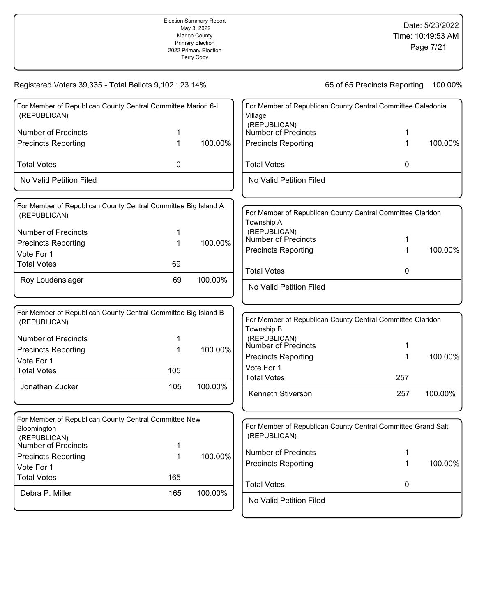|                                                                                |     | <b>Election Summary Report</b><br>May 3, 2022<br><b>Marion County</b><br><b>Primary Election</b><br>2022 Primary Election<br>Marion County's Official<br>Canvass |                                               |                                                              | Date: 5/23/2022<br>Time: 10:49:53 AM<br>Page 7/21 |
|--------------------------------------------------------------------------------|-----|------------------------------------------------------------------------------------------------------------------------------------------------------------------|-----------------------------------------------|--------------------------------------------------------------|---------------------------------------------------|
| Registered Voters 39,335 - Total Ballots 9,102 : 23.14%                        |     |                                                                                                                                                                  |                                               | 65 of 65 Precincts Reporting                                 | 100.00%                                           |
| For Member of Republican County Central Committee Marion 6-I<br>(REPUBLICAN)   |     |                                                                                                                                                                  | Village                                       | For Member of Republican County Central Committee Caledonia  |                                                   |
| <b>Number of Precincts</b>                                                     |     |                                                                                                                                                                  | (REPUBLICAN)<br>Number of Precincts           |                                                              |                                                   |
| <b>Precincts Reporting</b>                                                     |     | 100.00%                                                                                                                                                          | <b>Precincts Reporting</b>                    |                                                              | 100.00%                                           |
| <b>Total Votes</b>                                                             | 0   |                                                                                                                                                                  | <b>Total Votes</b>                            | 0                                                            |                                                   |
| No Valid Petition Filed                                                        |     |                                                                                                                                                                  | No Valid Petition Filed                       |                                                              |                                                   |
| For Member of Republican County Central Committee Big Island A<br>(REPUBLICAN) |     |                                                                                                                                                                  | Township A                                    | For Member of Republican County Central Committee Claridon   |                                                   |
| <b>Number of Precincts</b>                                                     | 1   |                                                                                                                                                                  | (REPUBLICAN)                                  |                                                              |                                                   |
| <b>Precincts Reporting</b>                                                     | 1   | 100.00%                                                                                                                                                          | Number of Precincts                           | 1                                                            |                                                   |
| Vote For 1                                                                     |     |                                                                                                                                                                  | <b>Precincts Reporting</b>                    | 1                                                            | 100.00%                                           |
| <b>Total Votes</b>                                                             | 69  |                                                                                                                                                                  |                                               |                                                              |                                                   |
| Roy Loudenslager                                                               | 69  | 100.00%                                                                                                                                                          | <b>Total Votes</b><br>No Valid Petition Filed | 0                                                            |                                                   |
| For Member of Republican County Central Committee Big Island B                 |     |                                                                                                                                                                  |                                               |                                                              |                                                   |
| (REPUBLICAN)                                                                   |     |                                                                                                                                                                  | Township B                                    | For Member of Republican County Central Committee Claridon   |                                                   |
| <b>Number of Precincts</b>                                                     |     |                                                                                                                                                                  | (REPUBLICAN)<br>Number of Precincts           |                                                              |                                                   |
| <b>Precincts Reporting</b>                                                     | 1   | 100.00%                                                                                                                                                          |                                               | 1                                                            |                                                   |
| Vote For 1                                                                     |     |                                                                                                                                                                  | <b>Precincts Reporting</b><br>Vote For 1      | 1                                                            | 100.00%                                           |
| <b>Total Votes</b>                                                             | 105 |                                                                                                                                                                  | <b>Total Votes</b>                            | 257                                                          |                                                   |
| Jonathan Zucker                                                                | 105 | 100.00%                                                                                                                                                          | Kenneth Stiverson                             | 257                                                          | 100.00%                                           |
| For Member of Republican County Central Committee New                          |     |                                                                                                                                                                  |                                               |                                                              |                                                   |
| Bloomington<br>(REPUBLICAN)                                                    |     |                                                                                                                                                                  | (REPUBLICAN)                                  | For Member of Republican County Central Committee Grand Salt |                                                   |
| Number of Precincts                                                            | 1   |                                                                                                                                                                  | <b>Number of Precincts</b>                    | 1                                                            |                                                   |
| <b>Precincts Reporting</b>                                                     | 1   | 100.00%                                                                                                                                                          | <b>Precincts Reporting</b>                    | 1                                                            | 100.00%                                           |
| Vote For 1                                                                     |     |                                                                                                                                                                  |                                               |                                                              |                                                   |
| <b>Total Votes</b>                                                             | 165 |                                                                                                                                                                  | <b>Total Votes</b>                            | 0                                                            |                                                   |
| Debra P. Miller                                                                | 165 | 100.00%                                                                                                                                                          | No Valid Petition Filed                       |                                                              |                                                   |
|                                                                                |     |                                                                                                                                                                  |                                               |                                                              |                                                   |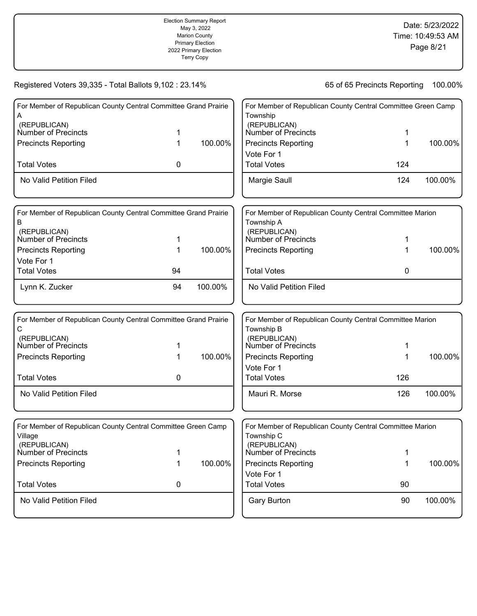|                                                                         |    | <b>Election Summary Report</b><br>May 3, 2022<br><b>Marion County</b><br><b>Primary Election</b><br>2022 Primary Election<br>Marion County's Official<br>Canvass |                                          |                                                              | Date: 5/23/2022<br>Time: 10:49:53 AM<br>Page 8/21 |
|-------------------------------------------------------------------------|----|------------------------------------------------------------------------------------------------------------------------------------------------------------------|------------------------------------------|--------------------------------------------------------------|---------------------------------------------------|
| Registered Voters 39,335 - Total Ballots 9,102 : 23.14%                 |    |                                                                                                                                                                  |                                          | 65 of 65 Precincts Reporting                                 | 100.00%                                           |
| For Member of Republican County Central Committee Grand Prairie<br>A    |    |                                                                                                                                                                  | Township                                 | For Member of Republican County Central Committee Green Camp |                                                   |
| (REPUBLICAN)<br>Number of Precincts                                     | 1  |                                                                                                                                                                  | (REPUBLICAN)<br>Number of Precincts      | 1                                                            |                                                   |
| <b>Precincts Reporting</b>                                              | 1  | 100.00%                                                                                                                                                          | <b>Precincts Reporting</b><br>Vote For 1 | 1                                                            | 100.00%                                           |
| <b>Total Votes</b>                                                      | 0  |                                                                                                                                                                  | <b>Total Votes</b>                       | 124                                                          |                                                   |
| No Valid Petition Filed                                                 |    |                                                                                                                                                                  | Margie Saull                             | 124                                                          | 100.00%                                           |
| For Member of Republican County Central Committee Grand Prairie<br>B    |    |                                                                                                                                                                  | Township A                               | For Member of Republican County Central Committee Marion     |                                                   |
| (REPUBLICAN)<br><b>Number of Precincts</b>                              | 1  |                                                                                                                                                                  | (REPUBLICAN)<br>Number of Precincts      | 1                                                            |                                                   |
| <b>Precincts Reporting</b><br>Vote For 1                                | 1  | 100.00%                                                                                                                                                          | <b>Precincts Reporting</b>               | 1                                                            | 100.00%                                           |
| <b>Total Votes</b>                                                      | 94 |                                                                                                                                                                  | <b>Total Votes</b>                       | 0                                                            |                                                   |
| Lynn K. Zucker                                                          | 94 | 100.00%                                                                                                                                                          | No Valid Petition Filed                  |                                                              |                                                   |
| For Member of Republican County Central Committee Grand Prairie<br>С    |    |                                                                                                                                                                  | Township B                               | For Member of Republican County Central Committee Marion     |                                                   |
| (REPUBLICAN)<br><b>Number of Precincts</b>                              | 1  |                                                                                                                                                                  | (REPUBLICAN)<br>Number of Precincts      | 1                                                            |                                                   |
| <b>Precincts Reporting</b>                                              | 1  | 100.00%                                                                                                                                                          | <b>Precincts Reporting</b><br>Vote For 1 | 1                                                            | 100.00%                                           |
| <b>Total Votes</b>                                                      | 0  |                                                                                                                                                                  | <b>Total Votes</b>                       | 126                                                          |                                                   |
| No Valid Petition Filed                                                 |    |                                                                                                                                                                  | Mauri R. Morse                           | 126                                                          | 100.00%                                           |
| For Member of Republican County Central Committee Green Camp<br>Village |    |                                                                                                                                                                  | Township C                               | For Member of Republican County Central Committee Marion     |                                                   |
| (REPUBLICAN)<br><b>Number of Precincts</b>                              | 1  |                                                                                                                                                                  | (REPUBLICAN)<br>Number of Precincts      | 1                                                            |                                                   |
| <b>Precincts Reporting</b>                                              | 1  | 100.00%                                                                                                                                                          | <b>Precincts Reporting</b><br>Vote For 1 | 1                                                            | 100.00%                                           |
| <b>Total Votes</b>                                                      | 0  |                                                                                                                                                                  | <b>Total Votes</b>                       | 90                                                           |                                                   |
| No Valid Petition Filed                                                 |    |                                                                                                                                                                  | <b>Gary Burton</b>                       | 90                                                           | 100.00%                                           |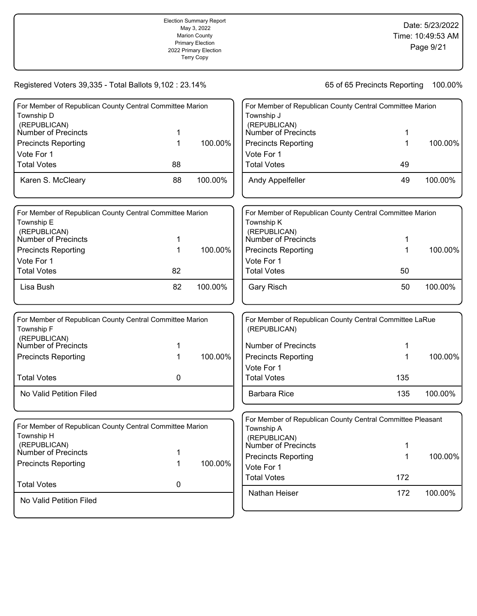|                                                                                        |    | <b>Election Summary Report</b><br>May 3, 2022<br><b>Marion County</b><br><b>Primary Election</b><br>2022 Primary Election<br>Marion County's Official<br>Canvass |                                                   |                                                            | Date: 5/23/2022<br>Time: 10:49:53 AM<br>Page 9/21 |
|----------------------------------------------------------------------------------------|----|------------------------------------------------------------------------------------------------------------------------------------------------------------------|---------------------------------------------------|------------------------------------------------------------|---------------------------------------------------|
| Registered Voters 39,335 - Total Ballots 9,102 : 23.14%                                |    |                                                                                                                                                                  |                                                   | 65 of 65 Precincts Reporting                               | 100.00%                                           |
| For Member of Republican County Central Committee Marion                               |    |                                                                                                                                                                  |                                                   | For Member of Republican County Central Committee Marion   |                                                   |
| Township D<br>(REPUBLICAN)<br>Number of Precincts                                      | 1  |                                                                                                                                                                  | Township J<br>(REPUBLICAN)<br>Number of Precincts | 1                                                          |                                                   |
| <b>Precincts Reporting</b><br>Vote For 1                                               | 1  | 100.00%                                                                                                                                                          | <b>Precincts Reporting</b><br>Vote For 1          | 1                                                          | 100.00%                                           |
| <b>Total Votes</b>                                                                     | 88 |                                                                                                                                                                  | <b>Total Votes</b>                                | 49                                                         |                                                   |
| Karen S. McCleary                                                                      | 88 | 100.00%                                                                                                                                                          | Andy Appelfeller                                  | 49                                                         | 100.00%                                           |
| For Member of Republican County Central Committee Marion<br>Township E<br>(REPUBLICAN) |    |                                                                                                                                                                  | Township K<br>(REPUBLICAN)                        | For Member of Republican County Central Committee Marion   |                                                   |
| Number of Precincts                                                                    | 1  |                                                                                                                                                                  | Number of Precincts                               | 1                                                          |                                                   |
| <b>Precincts Reporting</b><br>Vote For 1                                               | 1  | 100.00%                                                                                                                                                          | <b>Precincts Reporting</b><br>Vote For 1          | 1                                                          | 100.00%                                           |
| <b>Total Votes</b>                                                                     | 82 |                                                                                                                                                                  | <b>Total Votes</b>                                | 50                                                         |                                                   |
| Lisa Bush                                                                              | 82 | 100.00%                                                                                                                                                          | <b>Gary Risch</b>                                 | 50                                                         | 100.00%                                           |
| For Member of Republican County Central Committee Marion<br>Township F<br>(REPUBLICAN) |    |                                                                                                                                                                  | (REPUBLICAN)                                      | For Member of Republican County Central Committee LaRue    |                                                   |
| Number of Precincts                                                                    | 1  |                                                                                                                                                                  | <b>Number of Precincts</b>                        | 1                                                          |                                                   |
| <b>Precincts Reporting</b>                                                             | 1  | 100.00%                                                                                                                                                          | <b>Precincts Reporting</b>                        | 1                                                          | 100.00%                                           |
| <b>Total Votes</b>                                                                     | 0  |                                                                                                                                                                  | Vote For 1<br><b>Total Votes</b>                  | 135                                                        |                                                   |
| No Valid Petition Filed                                                                |    |                                                                                                                                                                  | <b>Barbara Rice</b>                               | 135                                                        | 100.00%                                           |
|                                                                                        |    |                                                                                                                                                                  |                                                   | For Member of Republican County Central Committee Pleasant |                                                   |
| For Member of Republican County Central Committee Marion<br>Township H                 |    |                                                                                                                                                                  | Township A<br>(REPUBLICAN)                        |                                                            |                                                   |
| (REPUBLICAN)<br><b>Number of Precincts</b>                                             | 1  |                                                                                                                                                                  | <b>Number of Precincts</b>                        | 1                                                          |                                                   |
| <b>Precincts Reporting</b>                                                             | 1  | 100.00%                                                                                                                                                          | <b>Precincts Reporting</b><br>Vote For 1          | 1                                                          | 100.00%                                           |
| <b>Total Votes</b>                                                                     | 0  |                                                                                                                                                                  | <b>Total Votes</b>                                | 172                                                        |                                                   |
| No Valid Petition Filed                                                                |    |                                                                                                                                                                  | Nathan Heiser                                     | 172                                                        | 100.00%                                           |
|                                                                                        |    |                                                                                                                                                                  |                                                   |                                                            |                                                   |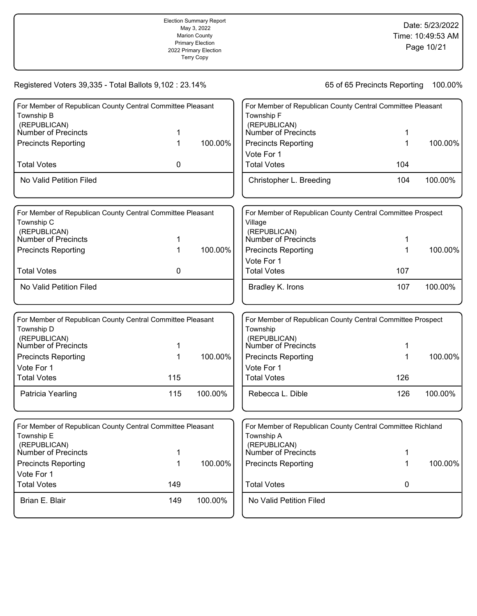|                                                                                                                 |     | <b>Election Summary Report</b><br>May 3, 2022<br><b>Marion County</b><br><b>Primary Election</b><br>2022 Primary Election<br>Marion County's Official<br>Canvass |                                                   |                                                                 | Date: 5/23/2022<br>Time: 10:49:53 AM<br>Page 10/21 |
|-----------------------------------------------------------------------------------------------------------------|-----|------------------------------------------------------------------------------------------------------------------------------------------------------------------|---------------------------------------------------|-----------------------------------------------------------------|----------------------------------------------------|
| Registered Voters 39,335 - Total Ballots 9,102 : 23.14%                                                         |     |                                                                                                                                                                  |                                                   | 65 of 65 Precincts Reporting                                    | 100.00%                                            |
| For Member of Republican County Central Committee Pleasant<br>Township B<br>(REPUBLICAN)<br>Number of Precincts | 1   |                                                                                                                                                                  | Township F<br>(REPUBLICAN)<br>Number of Precincts | For Member of Republican County Central Committee Pleasant<br>1 |                                                    |
| <b>Precincts Reporting</b>                                                                                      | 1   | 100.00%                                                                                                                                                          | <b>Precincts Reporting</b><br>Vote For 1          | 1                                                               | 100.00%                                            |
| <b>Total Votes</b><br>No Valid Petition Filed                                                                   | 0   |                                                                                                                                                                  | <b>Total Votes</b><br>Christopher L. Breeding     | 104<br>104                                                      | 100.00%                                            |
|                                                                                                                 |     |                                                                                                                                                                  |                                                   |                                                                 |                                                    |
| For Member of Republican County Central Committee Pleasant<br>Township C<br>(REPUBLICAN)                        |     |                                                                                                                                                                  | Village                                           | For Member of Republican County Central Committee Prospect      |                                                    |
| <b>Number of Precincts</b>                                                                                      | 1   |                                                                                                                                                                  | (REPUBLICAN)<br>Number of Precincts               | 1                                                               |                                                    |
| <b>Precincts Reporting</b>                                                                                      | 1   | 100.00%                                                                                                                                                          | <b>Precincts Reporting</b><br>Vote For 1          | 1                                                               | 100.00%                                            |
| <b>Total Votes</b>                                                                                              | 0   |                                                                                                                                                                  | <b>Total Votes</b>                                | 107                                                             |                                                    |
| No Valid Petition Filed                                                                                         |     |                                                                                                                                                                  | Bradley K. Irons                                  | 107                                                             | 100.00%                                            |
| For Member of Republican County Central Committee Pleasant<br>Township D                                        |     |                                                                                                                                                                  | Township                                          | For Member of Republican County Central Committee Prospect      |                                                    |
| (REPUBLICAN)<br>Number of Precincts                                                                             | 1   |                                                                                                                                                                  | (REPUBLICAN)<br>Number of Precincts               | 1                                                               |                                                    |
| <b>Precincts Reporting</b><br>Vote For 1                                                                        | 1   | 100.00%                                                                                                                                                          | <b>Precincts Reporting</b><br>Vote For 1          | 1                                                               | 100.00%                                            |
| <b>Total Votes</b>                                                                                              | 115 |                                                                                                                                                                  | <b>Total Votes</b>                                | 126                                                             |                                                    |
| Patricia Yearling                                                                                               | 115 | 100.00%                                                                                                                                                          | Rebecca L. Dible                                  | 126                                                             | 100.00%                                            |
| For Member of Republican County Central Committee Pleasant<br>Township E                                        |     |                                                                                                                                                                  | Township A                                        | For Member of Republican County Central Committee Richland      |                                                    |
| (REPUBLICAN)<br><b>Number of Precincts</b>                                                                      | 1   |                                                                                                                                                                  | (REPUBLICAN)<br>Number of Precincts               | 1                                                               |                                                    |
| <b>Precincts Reporting</b>                                                                                      | 1   | 100.00%                                                                                                                                                          | <b>Precincts Reporting</b>                        | 1                                                               | 100.00%                                            |
| Vote For 1<br><b>Total Votes</b>                                                                                | 149 |                                                                                                                                                                  | <b>Total Votes</b>                                | 0                                                               |                                                    |
| Brian E. Blair                                                                                                  | 149 | 100.00%                                                                                                                                                          | No Valid Petition Filed                           |                                                                 |                                                    |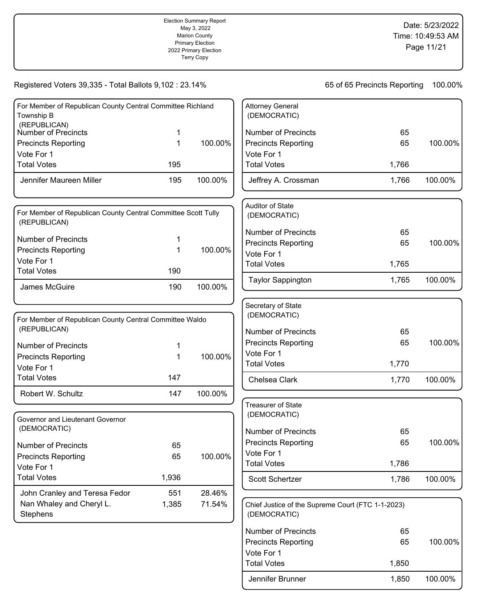| <b>Election Summary Report</b><br>May 3, 2022<br><b>Marion County</b><br><b>Primary Election</b><br>2022 Primary Election<br>Marion County's Official<br>Canvass |  |         |                                                                       |                              | Date: 5/23/2022<br>Time: 10:49:53 AM<br>Page 11/21 |
|------------------------------------------------------------------------------------------------------------------------------------------------------------------|--|---------|-----------------------------------------------------------------------|------------------------------|----------------------------------------------------|
| Registered Voters 39,335 - Total Ballots 9,102 : 23.14%                                                                                                          |  |         |                                                                       | 65 of 65 Precincts Reporting | 100.00%                                            |
| For Member of Republican County Central Committee Richland<br>Township B<br>(REPUBLICAN)<br>Number of Precincts                                                  |  |         | <b>Attorney General</b><br>(DEMOCRATIC)<br><b>Number of Precincts</b> | 65                           |                                                    |
| <b>Precincts Reporting</b>                                                                                                                                       |  | 100.00% | <b>Precincts Reporting</b>                                            | 65                           | 100.00%                                            |

100.00%

100.00%

100.00%

100.00%

100.00%

Precincts Reporting 65

Total Votes 1,850

Jennifer Brunner 1,850 100.00%

Vote For 1

100.00%

100.00%

100.00%

| Vote For 1                                                                    |             |         | Vote For 1                                                        |       |
|-------------------------------------------------------------------------------|-------------|---------|-------------------------------------------------------------------|-------|
| <b>Total Votes</b>                                                            | 195         |         | <b>Total Votes</b>                                                | 1,766 |
| Jennifer Maureen Miller                                                       | 195         | 100.00% | Jeffrey A. Crossman                                               | 1,766 |
| For Member of Republican County Central Committee Scott Tully<br>(REPUBLICAN) |             |         | Auditor of State<br>(DEMOCRATIC)                                  |       |
| <b>Number of Precincts</b>                                                    | 1           |         | <b>Number of Precincts</b>                                        | 65    |
| <b>Precincts Reporting</b>                                                    | $\mathbf 1$ | 100.00% | <b>Precincts Reporting</b>                                        | 65    |
| Vote For 1                                                                    |             |         | Vote For 1                                                        |       |
| <b>Total Votes</b>                                                            | 190         |         | <b>Total Votes</b>                                                | 1,765 |
| James McGuire                                                                 | 190         | 100.00% | <b>Taylor Sappington</b>                                          | 1,765 |
| For Member of Republican County Central Committee Waldo                       |             |         | Secretary of State<br>(DEMOCRATIC)                                |       |
| (REPUBLICAN)                                                                  |             |         | <b>Number of Precincts</b>                                        | 65    |
| <b>Number of Precincts</b>                                                    | 1           |         | <b>Precincts Reporting</b>                                        | 65    |
| <b>Precincts Reporting</b>                                                    | $\mathbf 1$ | 100.00% | Vote For 1                                                        |       |
| Vote For 1                                                                    |             |         | <b>Total Votes</b>                                                | 1,770 |
| <b>Total Votes</b>                                                            | 147         |         | Chelsea Clark                                                     | 1,770 |
| Robert W. Schultz                                                             | 147         | 100.00% |                                                                   |       |
| Governor and Lieutenant Governor                                              |             |         | <b>Treasurer of State</b><br>(DEMOCRATIC)                         |       |
| (DEMOCRATIC)                                                                  |             |         | <b>Number of Precincts</b>                                        | 65    |
| <b>Number of Precincts</b>                                                    | 65          |         | <b>Precincts Reporting</b>                                        | 65    |
| <b>Precincts Reporting</b>                                                    | 65          | 100.00% | Vote For 1                                                        |       |
| Vote For 1                                                                    |             |         | <b>Total Votes</b>                                                | 1,786 |
| <b>Total Votes</b>                                                            | 1,936       |         | Scott Schertzer                                                   | 1,786 |
| John Cranley and Teresa Fedor                                                 | 551         | 28.46%  |                                                                   |       |
| Nan Whaley and Cheryl L.<br>Stephens                                          | 1,385       | 71.54%  | Chief Justice of the Supreme Court (FTC 1-1-2023)<br>(DEMOCRATIC) |       |
|                                                                               |             |         | <b>Number of Precincts</b>                                        | 65    |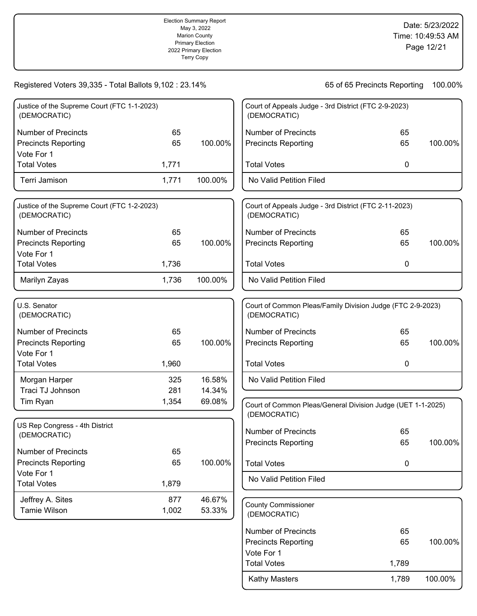|                                                             |       | <b>Election Summary Report</b><br>May 3, 2022<br><b>Marion County</b><br><b>Primary Election</b><br>2022 Primary Election<br>Marion County's Official<br>Canvass |                                            |                                                             | Date: 5/23/2022<br>Time: 10:49:53 AM<br>Page 12/21 |
|-------------------------------------------------------------|-------|------------------------------------------------------------------------------------------------------------------------------------------------------------------|--------------------------------------------|-------------------------------------------------------------|----------------------------------------------------|
| Registered Voters 39,335 - Total Ballots 9,102 : 23.14%     |       |                                                                                                                                                                  |                                            | 65 of 65 Precincts Reporting                                | 100.00%                                            |
| Justice of the Supreme Court (FTC 1-1-2023)<br>(DEMOCRATIC) |       |                                                                                                                                                                  | (DEMOCRATIC)                               | Court of Appeals Judge - 3rd District (FTC 2-9-2023)        |                                                    |
| <b>Number of Precincts</b>                                  | 65    |                                                                                                                                                                  | <b>Number of Precincts</b>                 | 65                                                          |                                                    |
| <b>Precincts Reporting</b>                                  | 65    | 100.00%                                                                                                                                                          | <b>Precincts Reporting</b>                 | 65                                                          | 100.00%                                            |
| Vote For 1                                                  |       |                                                                                                                                                                  |                                            |                                                             |                                                    |
| <b>Total Votes</b>                                          | 1,771 |                                                                                                                                                                  | <b>Total Votes</b>                         | 0                                                           |                                                    |
| Terri Jamison                                               | 1,771 | 100.00%                                                                                                                                                          | No Valid Petition Filed                    |                                                             |                                                    |
| Justice of the Supreme Court (FTC 1-2-2023)<br>(DEMOCRATIC) |       |                                                                                                                                                                  | (DEMOCRATIC)                               | Court of Appeals Judge - 3rd District (FTC 2-11-2023)       |                                                    |
| <b>Number of Precincts</b>                                  | 65    |                                                                                                                                                                  | <b>Number of Precincts</b>                 | 65                                                          |                                                    |
| <b>Precincts Reporting</b>                                  | 65    | 100.00%                                                                                                                                                          | <b>Precincts Reporting</b>                 | 65                                                          | 100.00%                                            |
| Vote For 1                                                  |       |                                                                                                                                                                  |                                            |                                                             |                                                    |
| <b>Total Votes</b>                                          | 1,736 |                                                                                                                                                                  | <b>Total Votes</b>                         | 0                                                           |                                                    |
| Marilyn Zayas                                               | 1,736 | 100.00%                                                                                                                                                          | No Valid Petition Filed                    |                                                             |                                                    |
|                                                             |       |                                                                                                                                                                  |                                            |                                                             |                                                    |
| U.S. Senator<br>(DEMOCRATIC)                                |       |                                                                                                                                                                  | (DEMOCRATIC)                               | Court of Common Pleas/Family Division Judge (FTC 2-9-2023)  |                                                    |
| <b>Number of Precincts</b>                                  | 65    |                                                                                                                                                                  | <b>Number of Precincts</b>                 | 65                                                          |                                                    |
| <b>Precincts Reporting</b>                                  | 65    | 100.00%                                                                                                                                                          | <b>Precincts Reporting</b>                 | 65                                                          | 100.00%                                            |
| Vote For 1                                                  |       |                                                                                                                                                                  |                                            |                                                             |                                                    |
| <b>Total Votes</b>                                          | 1,960 |                                                                                                                                                                  | <b>Total Votes</b>                         | 0                                                           |                                                    |
| Morgan Harper                                               | 325   | 16.58%                                                                                                                                                           | No Valid Petition Filed                    |                                                             |                                                    |
| Traci TJ Johnson                                            | 281   | 14.34%                                                                                                                                                           |                                            |                                                             |                                                    |
| Tim Ryan                                                    | 1,354 | 69.08%                                                                                                                                                           | (DEMOCRATIC)                               | Court of Common Pleas/General Division Judge (UET 1-1-2025) |                                                    |
| US Rep Congress - 4th District                              |       |                                                                                                                                                                  |                                            |                                                             |                                                    |
| (DEMOCRATIC)                                                |       |                                                                                                                                                                  | <b>Number of Precincts</b>                 | 65                                                          |                                                    |
| <b>Number of Precincts</b>                                  | 65    |                                                                                                                                                                  | <b>Precincts Reporting</b>                 | 65                                                          | 100.00%                                            |
| <b>Precincts Reporting</b>                                  | 65    | 100.00%                                                                                                                                                          | <b>Total Votes</b>                         | 0                                                           |                                                    |
| Vote For 1                                                  |       |                                                                                                                                                                  |                                            |                                                             |                                                    |
| <b>Total Votes</b>                                          | 1,879 |                                                                                                                                                                  | No Valid Petition Filed                    |                                                             |                                                    |
| Jeffrey A. Sites                                            | 877   | 46.67%                                                                                                                                                           |                                            |                                                             |                                                    |
| <b>Tamie Wilson</b>                                         | 1,002 | 53.33%                                                                                                                                                           | <b>County Commissioner</b><br>(DEMOCRATIC) |                                                             |                                                    |
|                                                             |       |                                                                                                                                                                  | <b>Number of Precincts</b>                 | 65                                                          |                                                    |
|                                                             |       |                                                                                                                                                                  | <b>Precincts Reporting</b>                 | 65                                                          | 100.00%                                            |
|                                                             |       |                                                                                                                                                                  | Vote For 1                                 |                                                             |                                                    |

 $\overline{1}$ 

Kathy Masters 1,789 100.00%

Total Votes 1,789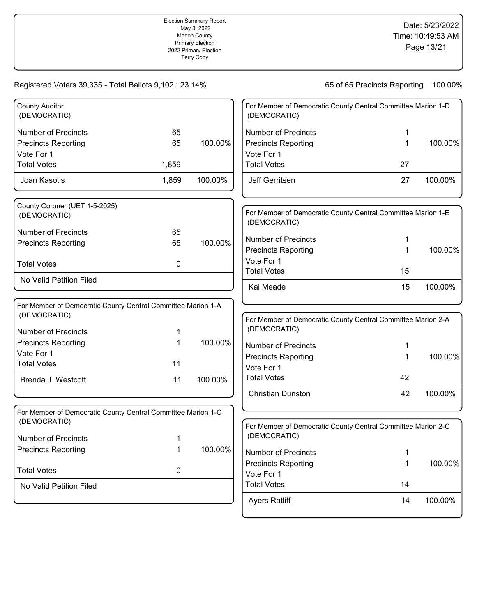|                                                                                                            |                | Election Summary Report<br>May 3, 2022<br><b>Marion County</b><br><b>Primary Election</b><br>2022 Primary Election<br>Marion County's Official<br>Canvass |                                                                        |                                                              | Date: 5/23/2022<br>Time: 10:49:53 AM<br>Page 13/21 |  |
|------------------------------------------------------------------------------------------------------------|----------------|-----------------------------------------------------------------------------------------------------------------------------------------------------------|------------------------------------------------------------------------|--------------------------------------------------------------|----------------------------------------------------|--|
| Registered Voters 39,335 - Total Ballots 9,102 : 23.14%                                                    |                |                                                                                                                                                           |                                                                        | 65 of 65 Precincts Reporting                                 | 100.00%                                            |  |
| <b>County Auditor</b><br>(DEMOCRATIC)                                                                      |                |                                                                                                                                                           | (DEMOCRATIC)                                                           | For Member of Democratic County Central Committee Marion 1-D |                                                    |  |
| <b>Number of Precincts</b><br><b>Precincts Reporting</b><br>Vote For 1                                     | 65<br>65       | 100.00%                                                                                                                                                   | <b>Number of Precincts</b><br><b>Precincts Reporting</b><br>Vote For 1 | 1<br>1                                                       | 100.00%                                            |  |
| <b>Total Votes</b><br>Joan Kasotis                                                                         | 1,859<br>1,859 | 100.00%                                                                                                                                                   | <b>Total Votes</b><br>Jeff Gerritsen                                   | 27<br>27                                                     | 100.00%                                            |  |
| County Coroner (UET 1-5-2025)<br>(DEMOCRATIC)                                                              |                |                                                                                                                                                           | (DEMOCRATIC)                                                           | For Member of Democratic County Central Committee Marion 1-E |                                                    |  |
| <b>Number of Precincts</b><br><b>Precincts Reporting</b><br><b>Total Votes</b>                             | 65<br>65       | 100.00%                                                                                                                                                   | <b>Number of Precincts</b><br><b>Precincts Reporting</b><br>Vote For 1 | 1<br>1                                                       | 100.00%                                            |  |
| No Valid Petition Filed                                                                                    | 0              |                                                                                                                                                           | <b>Total Votes</b><br>Kai Meade                                        | 15<br>15                                                     | 100.00%                                            |  |
| For Member of Democratic County Central Committee Marion 1-A<br>(DEMOCRATIC)<br><b>Number of Precincts</b> | 1              |                                                                                                                                                           | (DEMOCRATIC)                                                           | For Member of Democratic County Central Committee Marion 2-A |                                                    |  |
| <b>Precincts Reporting</b><br>Vote For 1<br><b>Total Votes</b>                                             | 1<br>11        | 100.00%                                                                                                                                                   | <b>Number of Precincts</b><br><b>Precincts Reporting</b><br>Vote For 1 | 1<br>1                                                       | 100.00%                                            |  |
| Brenda J. Westcott                                                                                         | 11             | 100.00%                                                                                                                                                   | <b>Total Votes</b><br><b>Christian Dunston</b>                         | 42<br>42                                                     | 100.00%                                            |  |
| For Member of Democratic County Central Committee Marion 1-C<br>(DEMOCRATIC)                               |                |                                                                                                                                                           |                                                                        | For Member of Democratic County Central Committee Marion 2-C |                                                    |  |
| <b>Number of Precincts</b><br><b>Precincts Reporting</b>                                                   |                | 100.00%                                                                                                                                                   | (DEMOCRATIC)<br><b>Number of Precincts</b>                             |                                                              |                                                    |  |
| <b>Total Votes</b>                                                                                         | 0              |                                                                                                                                                           | <b>Precincts Reporting</b><br>Vote For 1                               | 1                                                            | 100.00%                                            |  |
| No Valid Petition Filed                                                                                    |                |                                                                                                                                                           | <b>Total Votes</b><br><b>Ayers Ratliff</b>                             | 14<br>14                                                     | 100.00%                                            |  |

Election Summary Report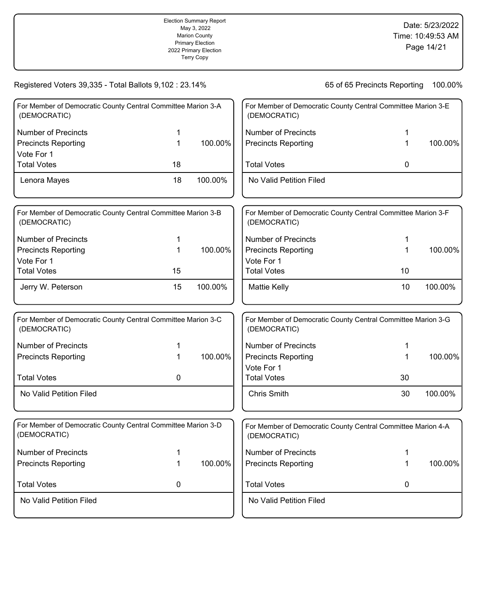|                                                                              |             | <b>Election Summary Report</b><br>May 3, 2022<br><b>Marion County</b><br><b>Primary Election</b><br>2022 Primary Election<br>Marion County's Official<br>Canvass |                                          |                                                              | Date: 5/23/2022<br>Time: 10:49:53 AM<br>Page 14/21 |
|------------------------------------------------------------------------------|-------------|------------------------------------------------------------------------------------------------------------------------------------------------------------------|------------------------------------------|--------------------------------------------------------------|----------------------------------------------------|
| Registered Voters 39,335 - Total Ballots 9,102 : 23.14%                      |             |                                                                                                                                                                  |                                          | 65 of 65 Precincts Reporting                                 | 100.00%                                            |
| For Member of Democratic County Central Committee Marion 3-A<br>(DEMOCRATIC) |             |                                                                                                                                                                  | (DEMOCRATIC)                             | For Member of Democratic County Central Committee Marion 3-E |                                                    |
| <b>Number of Precincts</b>                                                   | 1           |                                                                                                                                                                  | <b>Number of Precincts</b>               | 1                                                            |                                                    |
| <b>Precincts Reporting</b>                                                   | 1           | 100.00%                                                                                                                                                          | <b>Precincts Reporting</b>               | 1                                                            | 100.00%                                            |
| Vote For 1                                                                   |             |                                                                                                                                                                  |                                          |                                                              |                                                    |
| <b>Total Votes</b>                                                           | 18          |                                                                                                                                                                  | <b>Total Votes</b>                       | 0                                                            |                                                    |
| Lenora Mayes                                                                 | 18          | 100.00%                                                                                                                                                          | No Valid Petition Filed                  |                                                              |                                                    |
|                                                                              |             |                                                                                                                                                                  |                                          |                                                              |                                                    |
| For Member of Democratic County Central Committee Marion 3-B<br>(DEMOCRATIC) |             |                                                                                                                                                                  | (DEMOCRATIC)                             | For Member of Democratic County Central Committee Marion 3-F |                                                    |
| <b>Number of Precincts</b>                                                   | 1           |                                                                                                                                                                  | <b>Number of Precincts</b>               | 1                                                            |                                                    |
| <b>Precincts Reporting</b>                                                   | $\mathbf 1$ | 100.00%                                                                                                                                                          | <b>Precincts Reporting</b>               | 1                                                            | 100.00%                                            |
| Vote For 1                                                                   |             |                                                                                                                                                                  | Vote For 1                               |                                                              |                                                    |
| <b>Total Votes</b>                                                           | 15          |                                                                                                                                                                  | <b>Total Votes</b>                       | 10                                                           |                                                    |
| Jerry W. Peterson                                                            | 15          | 100.00%                                                                                                                                                          | <b>Mattie Kelly</b>                      | 10                                                           | 100.00%                                            |
| For Member of Democratic County Central Committee Marion 3-C<br>(DEMOCRATIC) |             |                                                                                                                                                                  | (DEMOCRATIC)                             | For Member of Democratic County Central Committee Marion 3-G |                                                    |
| <b>Number of Precincts</b>                                                   | 1           |                                                                                                                                                                  | <b>Number of Precincts</b>               | 1                                                            |                                                    |
| <b>Precincts Reporting</b>                                                   | 1           | 100.00%                                                                                                                                                          | <b>Precincts Reporting</b><br>Vote For 1 | 1                                                            | 100.00%                                            |
| <b>Total Votes</b>                                                           | 0           |                                                                                                                                                                  | <b>Total Votes</b>                       | 30                                                           |                                                    |
| No Valid Petition Filed                                                      |             |                                                                                                                                                                  | <b>Chris Smith</b>                       | 30                                                           | 100.00%                                            |
| For Member of Democratic County Central Committee Marion 3-D<br>(DEMOCRATIC) |             |                                                                                                                                                                  | (DEMOCRATIC)                             | For Member of Democratic County Central Committee Marion 4-A |                                                    |
| <b>Number of Precincts</b>                                                   | 1           |                                                                                                                                                                  | <b>Number of Precincts</b>               | 1                                                            |                                                    |
| <b>Precincts Reporting</b>                                                   | 1           | 100.00%                                                                                                                                                          | <b>Precincts Reporting</b>               | 1                                                            | 100.00%                                            |
| <b>Total Votes</b>                                                           | 0           |                                                                                                                                                                  | <b>Total Votes</b>                       | 0                                                            |                                                    |
| No Valid Petition Filed                                                      |             |                                                                                                                                                                  | No Valid Petition Filed                  |                                                              |                                                    |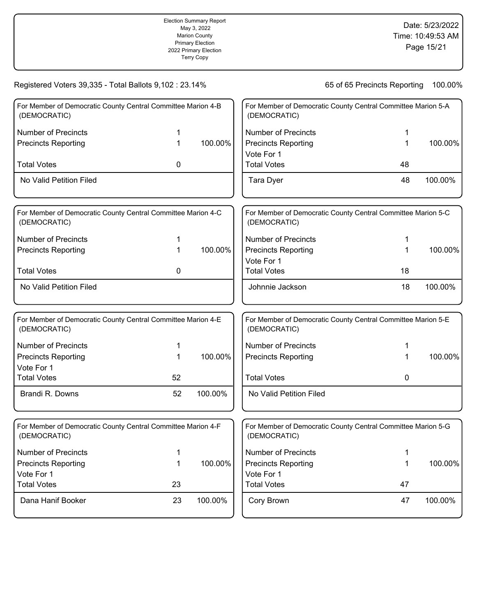|                                                                              |             | <b>Election Summary Report</b><br>May 3, 2022<br><b>Marion County</b><br><b>Primary Election</b><br>2022 Primary Election<br>Marion County's Official<br>Canvass |                                          |                                                              | Date: 5/23/2022<br>Time: 10:49:53 AM<br>Page 15/21 |
|------------------------------------------------------------------------------|-------------|------------------------------------------------------------------------------------------------------------------------------------------------------------------|------------------------------------------|--------------------------------------------------------------|----------------------------------------------------|
| Registered Voters 39,335 - Total Ballots 9,102 : 23.14%                      |             |                                                                                                                                                                  |                                          | 65 of 65 Precincts Reporting                                 | 100.00%                                            |
| For Member of Democratic County Central Committee Marion 4-B<br>(DEMOCRATIC) |             |                                                                                                                                                                  | (DEMOCRATIC)                             | For Member of Democratic County Central Committee Marion 5-A |                                                    |
| <b>Number of Precincts</b>                                                   | 1           |                                                                                                                                                                  | <b>Number of Precincts</b>               | 1                                                            |                                                    |
| <b>Precincts Reporting</b>                                                   | 1           | 100.00%                                                                                                                                                          | <b>Precincts Reporting</b>               | 1                                                            | 100.00%                                            |
|                                                                              |             |                                                                                                                                                                  | Vote For 1                               |                                                              |                                                    |
| <b>Total Votes</b>                                                           | 0           |                                                                                                                                                                  | <b>Total Votes</b>                       | 48                                                           |                                                    |
| No Valid Petition Filed                                                      |             |                                                                                                                                                                  | Tara Dyer                                | 48                                                           | 100.00%                                            |
| For Member of Democratic County Central Committee Marion 4-C<br>(DEMOCRATIC) |             |                                                                                                                                                                  | (DEMOCRATIC)                             | For Member of Democratic County Central Committee Marion 5-C |                                                    |
| <b>Number of Precincts</b>                                                   | 1           |                                                                                                                                                                  | <b>Number of Precincts</b>               | 1                                                            |                                                    |
| <b>Precincts Reporting</b>                                                   | 1           | 100.00%                                                                                                                                                          | <b>Precincts Reporting</b><br>Vote For 1 | 1                                                            | 100.00%                                            |
| <b>Total Votes</b>                                                           | 0           |                                                                                                                                                                  | <b>Total Votes</b>                       | 18                                                           |                                                    |
| No Valid Petition Filed                                                      |             |                                                                                                                                                                  | Johnnie Jackson                          | 18                                                           | 100.00%                                            |
| For Member of Democratic County Central Committee Marion 4-E<br>(DEMOCRATIC) |             |                                                                                                                                                                  | (DEMOCRATIC)                             | For Member of Democratic County Central Committee Marion 5-E |                                                    |
| <b>Number of Precincts</b>                                                   | 1           |                                                                                                                                                                  | <b>Number of Precincts</b>               | 1                                                            |                                                    |
| <b>Precincts Reporting</b><br>Vote For 1                                     | 1           | 100.00%                                                                                                                                                          | <b>Precincts Reporting</b>               | 1                                                            | 100.00%                                            |
| <b>Total Votes</b>                                                           | 52          |                                                                                                                                                                  | <b>Total Votes</b>                       | 0                                                            |                                                    |
| Brandi R. Downs                                                              | 52          | 100.00%                                                                                                                                                          | No Valid Petition Filed                  |                                                              |                                                    |
| For Member of Democratic County Central Committee Marion 4-F<br>(DEMOCRATIC) |             |                                                                                                                                                                  | (DEMOCRATIC)                             | For Member of Democratic County Central Committee Marion 5-G |                                                    |
| <b>Number of Precincts</b>                                                   | 1           |                                                                                                                                                                  | <b>Number of Precincts</b>               | 1                                                            |                                                    |
| <b>Precincts Reporting</b>                                                   | $\mathbf 1$ | 100.00%                                                                                                                                                          | <b>Precincts Reporting</b>               | 1                                                            | 100.00%                                            |
| Vote For 1                                                                   |             |                                                                                                                                                                  | Vote For 1                               |                                                              |                                                    |
| <b>Total Votes</b>                                                           | 23          |                                                                                                                                                                  | <b>Total Votes</b>                       | 47                                                           |                                                    |
| Dana Hanif Booker                                                            | 23          | 100.00%                                                                                                                                                          | Cory Brown                               | 47                                                           | 100.00%                                            |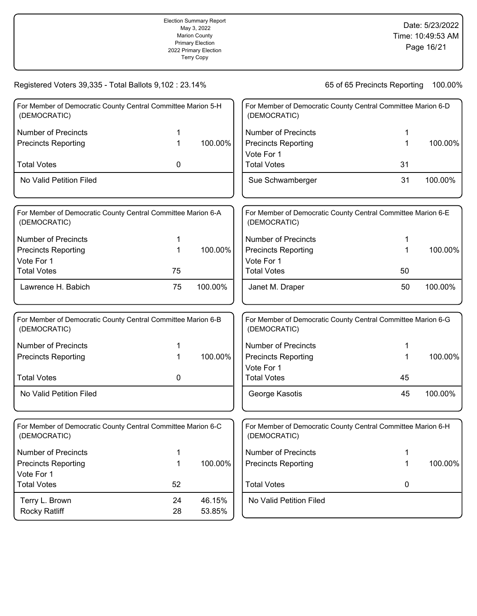|                                                                              |             | <b>Election Summary Report</b><br>May 3, 2022<br><b>Marion County</b><br><b>Primary Election</b><br>2022 Primary Election<br>Marion County's Official<br>Canvass |                                          |                                                              | Date: 5/23/2022<br>Time: 10:49:53 AM<br>Page 16/21 |
|------------------------------------------------------------------------------|-------------|------------------------------------------------------------------------------------------------------------------------------------------------------------------|------------------------------------------|--------------------------------------------------------------|----------------------------------------------------|
| Registered Voters 39,335 - Total Ballots 9,102 : 23.14%                      |             |                                                                                                                                                                  |                                          | 65 of 65 Precincts Reporting                                 | 100.00%                                            |
| For Member of Democratic County Central Committee Marion 5-H<br>(DEMOCRATIC) |             |                                                                                                                                                                  | (DEMOCRATIC)                             | For Member of Democratic County Central Committee Marion 6-D |                                                    |
| <b>Number of Precincts</b>                                                   | 1           |                                                                                                                                                                  | <b>Number of Precincts</b>               | 1                                                            |                                                    |
| <b>Precincts Reporting</b>                                                   | 1           | 100.00%                                                                                                                                                          | <b>Precincts Reporting</b><br>Vote For 1 | 1                                                            | 100.00%                                            |
| <b>Total Votes</b>                                                           | 0           |                                                                                                                                                                  | <b>Total Votes</b>                       | 31                                                           |                                                    |
| No Valid Petition Filed                                                      |             |                                                                                                                                                                  | Sue Schwamberger                         | 31                                                           | 100.00%                                            |
| For Member of Democratic County Central Committee Marion 6-A<br>(DEMOCRATIC) |             |                                                                                                                                                                  | (DEMOCRATIC)                             | For Member of Democratic County Central Committee Marion 6-E |                                                    |
| <b>Number of Precincts</b>                                                   | 1           |                                                                                                                                                                  | <b>Number of Precincts</b>               | 1                                                            |                                                    |
| <b>Precincts Reporting</b>                                                   | $\mathbf 1$ | 100.00%                                                                                                                                                          | <b>Precincts Reporting</b>               | 1                                                            | 100.00%                                            |
| Vote For 1                                                                   |             |                                                                                                                                                                  | Vote For 1                               |                                                              |                                                    |
| <b>Total Votes</b>                                                           | 75          |                                                                                                                                                                  | <b>Total Votes</b>                       | 50                                                           |                                                    |
| Lawrence H. Babich                                                           | 75          | 100.00%                                                                                                                                                          | Janet M. Draper                          | 50                                                           | 100.00%                                            |
| For Member of Democratic County Central Committee Marion 6-B<br>(DEMOCRATIC) |             |                                                                                                                                                                  | (DEMOCRATIC)                             | For Member of Democratic County Central Committee Marion 6-G |                                                    |
| <b>Number of Precincts</b>                                                   | 1           |                                                                                                                                                                  | <b>Number of Precincts</b>               | 1                                                            |                                                    |
| <b>Precincts Reporting</b>                                                   | 1           | 100.00%                                                                                                                                                          | <b>Precincts Reporting</b><br>Vote For 1 | 1                                                            | 100.00%                                            |
| <b>Total Votes</b>                                                           | 0           |                                                                                                                                                                  | <b>Total Votes</b>                       | 45                                                           |                                                    |
| No Valid Petition Filed                                                      |             |                                                                                                                                                                  | George Kasotis                           | 45                                                           | 100.00%                                            |
| For Member of Democratic County Central Committee Marion 6-C<br>(DEMOCRATIC) |             |                                                                                                                                                                  | (DEMOCRATIC)                             | For Member of Democratic County Central Committee Marion 6-H |                                                    |
| <b>Number of Precincts</b>                                                   | 1           |                                                                                                                                                                  | <b>Number of Precincts</b>               | 1                                                            |                                                    |
| <b>Precincts Reporting</b><br>Vote For 1                                     | 1           | 100.00%                                                                                                                                                          | <b>Precincts Reporting</b>               | 1                                                            | 100.00%                                            |
| <b>Total Votes</b>                                                           | 52          |                                                                                                                                                                  | <b>Total Votes</b>                       | 0                                                            |                                                    |
| Terry L. Brown<br><b>Rocky Ratliff</b>                                       | 24<br>28    | 46.15%<br>53.85%                                                                                                                                                 | No Valid Petition Filed                  |                                                              |                                                    |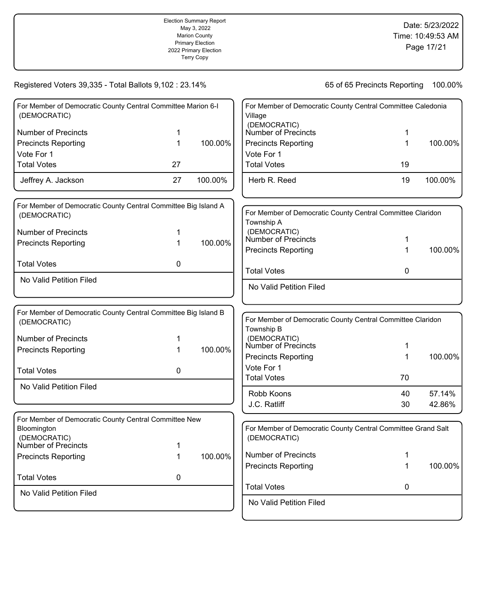|                                                                                                                                                                                                    |               | <b>Election Summary Report</b><br>May 3, 2022<br><b>Marion County</b><br><b>Primary Election</b><br>2022 Primary Election<br>Marion County's Official<br>Canvass |                                                                                                                                  |                                                                                   | Date: 5/23/2022<br>Time: 10:49:53 AM<br>Page 17/21 |
|----------------------------------------------------------------------------------------------------------------------------------------------------------------------------------------------------|---------------|------------------------------------------------------------------------------------------------------------------------------------------------------------------|----------------------------------------------------------------------------------------------------------------------------------|-----------------------------------------------------------------------------------|----------------------------------------------------|
| Registered Voters 39,335 - Total Ballots 9,102 : 23.14%                                                                                                                                            |               |                                                                                                                                                                  |                                                                                                                                  | 65 of 65 Precincts Reporting                                                      | 100.00%                                            |
| For Member of Democratic County Central Committee Marion 6-I<br>(DEMOCRATIC)<br><b>Number of Precincts</b><br><b>Precincts Reporting</b><br>Vote For 1<br><b>Total Votes</b><br>Jeffrey A. Jackson | 1<br>27<br>27 | 100.00%<br>100.00%                                                                                                                                               | Village<br>(DEMOCRATIC)<br>Number of Precincts<br><b>Precincts Reporting</b><br>Vote For 1<br><b>Total Votes</b><br>Herb R. Reed | For Member of Democratic County Central Committee Caledonia<br>1<br>1<br>19<br>19 | 100.00%<br>100.00%                                 |
| For Member of Democratic County Central Committee Big Island A<br>(DEMOCRATIC)<br><b>Number of Precincts</b><br><b>Precincts Reporting</b>                                                         | 1             | 100.00%                                                                                                                                                          | Township A<br>(DEMOCRATIC)<br><b>Number of Precincts</b><br><b>Precincts Reporting</b>                                           | For Member of Democratic County Central Committee Claridon<br>1<br>1              | 100.00%                                            |
| <b>Total Votes</b><br>No Valid Petition Filed                                                                                                                                                      | 0             |                                                                                                                                                                  | <b>Total Votes</b><br>No Valid Petition Filed                                                                                    | 0                                                                                 |                                                    |
| For Member of Democratic County Central Committee Big Island B<br>(DEMOCRATIC)<br><b>Number of Precincts</b><br><b>Precincts Reporting</b><br><b>Total Votes</b>                                   | 1<br>0        | 100.00%                                                                                                                                                          | Township B<br>(DEMOCRATIC)<br>Number of Precincts<br><b>Precincts Reporting</b><br>Vote For 1<br><b>Total Votes</b>              | For Member of Democratic County Central Committee Claridon<br>1<br>1<br>70        | 100.00%                                            |
| No Valid Petition Filed                                                                                                                                                                            |               |                                                                                                                                                                  | Robb Koons<br>J.C. Ratliff                                                                                                       | 40<br>30                                                                          | 57.14%<br>42.86%                                   |
| For Member of Democratic County Central Committee New<br>Bloomington<br>(DEMOCRATIC)<br><b>Number of Precincts</b><br><b>Precincts Reporting</b><br><b>Total Votes</b><br>No Valid Petition Filed  | 1<br>0        | 100.00%                                                                                                                                                          | (DEMOCRATIC)<br><b>Number of Precincts</b><br><b>Precincts Reporting</b><br><b>Total Votes</b>                                   | For Member of Democratic County Central Committee Grand Salt<br>1<br>1<br>0       | 100.00%                                            |
|                                                                                                                                                                                                    |               |                                                                                                                                                                  | No Valid Petition Filed                                                                                                          |                                                                                   |                                                    |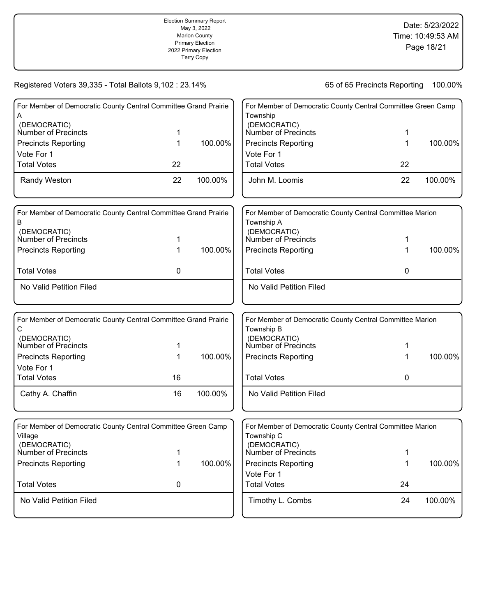|                                                                         |    | <b>Election Summary Report</b><br>May 3, 2022<br><b>Marion County</b><br><b>Primary Election</b><br>2022 Primary Election<br>Marion County's Official<br>Canvass | Date: 5/23/2022<br>Time: 10:49:53 AM<br>Page 18/21 |                                                              |         |
|-------------------------------------------------------------------------|----|------------------------------------------------------------------------------------------------------------------------------------------------------------------|----------------------------------------------------|--------------------------------------------------------------|---------|
| Registered Voters 39,335 - Total Ballots 9,102 : 23.14%                 |    |                                                                                                                                                                  |                                                    | 65 of 65 Precincts Reporting                                 | 100.00% |
| For Member of Democratic County Central Committee Grand Prairie         |    |                                                                                                                                                                  |                                                    | For Member of Democratic County Central Committee Green Camp |         |
| A<br>(DEMOCRATIC)<br>Number of Precincts                                | 1  |                                                                                                                                                                  | Township<br>(DEMOCRATIC)<br>Number of Precincts    | 1                                                            |         |
| <b>Precincts Reporting</b>                                              | 1  | 100.00%                                                                                                                                                          | <b>Precincts Reporting</b>                         | 1                                                            | 100.00% |
| Vote For 1<br><b>Total Votes</b>                                        | 22 |                                                                                                                                                                  | Vote For 1<br><b>Total Votes</b>                   | 22                                                           |         |
| Randy Weston                                                            | 22 | 100.00%                                                                                                                                                          | John M. Loomis                                     | 22                                                           | 100.00% |
| For Member of Democratic County Central Committee Grand Prairie         |    |                                                                                                                                                                  |                                                    | For Member of Democratic County Central Committee Marion     |         |
| В                                                                       |    |                                                                                                                                                                  | Township A                                         |                                                              |         |
| (DEMOCRATIC)<br><b>Number of Precincts</b>                              | 1  |                                                                                                                                                                  | (DEMOCRATIC)<br><b>Number of Precincts</b>         | 1                                                            |         |
| <b>Precincts Reporting</b>                                              | 1  | 100.00%                                                                                                                                                          | <b>Precincts Reporting</b>                         | 1                                                            | 100.00% |
| <b>Total Votes</b>                                                      | 0  |                                                                                                                                                                  | <b>Total Votes</b>                                 | 0                                                            |         |
| No Valid Petition Filed                                                 |    |                                                                                                                                                                  | No Valid Petition Filed                            |                                                              |         |
| For Member of Democratic County Central Committee Grand Prairie         |    |                                                                                                                                                                  |                                                    | For Member of Democratic County Central Committee Marion     |         |
| С<br>(DEMOCRATIC)<br>Number of Precincts                                | 1  |                                                                                                                                                                  | Township B<br>(DEMOCRATIC)<br>Number of Precincts  | 1                                                            |         |
| <b>Precincts Reporting</b>                                              | 1  | 100.00%                                                                                                                                                          | <b>Precincts Reporting</b>                         | 1                                                            | 100.00% |
| Vote For 1<br><b>Total Votes</b>                                        | 16 |                                                                                                                                                                  | <b>Total Votes</b>                                 | 0                                                            |         |
| Cathy A. Chaffin                                                        | 16 | 100.00%                                                                                                                                                          | No Valid Petition Filed                            |                                                              |         |
| For Member of Democratic County Central Committee Green Camp<br>Village |    |                                                                                                                                                                  | Township C                                         | For Member of Democratic County Central Committee Marion     |         |
| (DEMOCRATIC)<br>Number of Precincts                                     | 1  |                                                                                                                                                                  | (DEMOCRATIC)<br>Number of Precincts                | 1                                                            |         |
| <b>Precincts Reporting</b>                                              | 1  | 100.00%                                                                                                                                                          | <b>Precincts Reporting</b>                         | 1                                                            | 100.00% |
| <b>Total Votes</b>                                                      | 0  |                                                                                                                                                                  | Vote For 1<br><b>Total Votes</b>                   | 24                                                           |         |
| No Valid Petition Filed                                                 |    |                                                                                                                                                                  | Timothy L. Combs                                   | 24                                                           | 100.00% |
|                                                                         |    |                                                                                                                                                                  |                                                    |                                                              |         |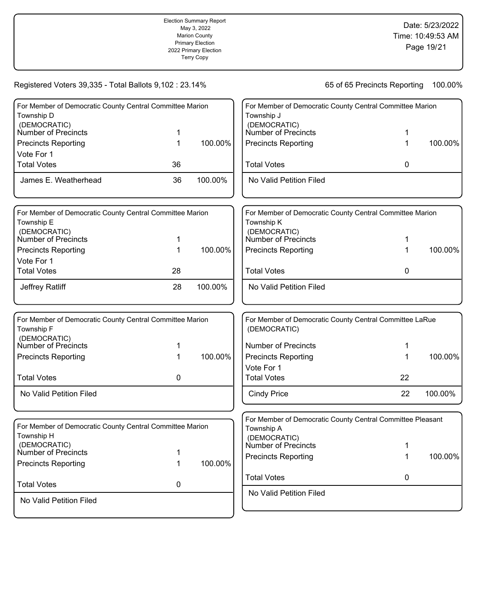|                                                                                        |        | <b>Election Summary Report</b><br>May 3, 2022<br><b>Marion County</b><br><b>Primary Election</b><br>2022 Primary Election<br>Marion County's Official<br>Canvass |                                                                                        |                              | Date: 5/23/2022<br>Time: 10:49:53 AM<br>Page 19/21 |
|----------------------------------------------------------------------------------------|--------|------------------------------------------------------------------------------------------------------------------------------------------------------------------|----------------------------------------------------------------------------------------|------------------------------|----------------------------------------------------|
| Registered Voters 39,335 - Total Ballots 9,102 : 23.14%                                |        |                                                                                                                                                                  |                                                                                        | 65 of 65 Precincts Reporting | 100.00%                                            |
| For Member of Democratic County Central Committee Marion                               |        |                                                                                                                                                                  | For Member of Democratic County Central Committee Marion                               |                              |                                                    |
| Township D<br>(DEMOCRATIC)<br>Number of Precincts                                      | 1      |                                                                                                                                                                  | Township J<br>(DEMOCRATIC)<br><b>Number of Precincts</b>                               | 1                            |                                                    |
| <b>Precincts Reporting</b><br>Vote For 1                                               | 1      | 100.00%                                                                                                                                                          | <b>Precincts Reporting</b>                                                             | 1                            | 100.00%                                            |
| <b>Total Votes</b>                                                                     | 36     |                                                                                                                                                                  | <b>Total Votes</b>                                                                     | 0                            |                                                    |
| James E. Weatherhead                                                                   | 36     | 100.00%                                                                                                                                                          | No Valid Petition Filed                                                                |                              |                                                    |
| For Member of Democratic County Central Committee Marion<br>Township E<br>(DEMOCRATIC) |        |                                                                                                                                                                  | For Member of Democratic County Central Committee Marion<br>Township K<br>(DEMOCRATIC) |                              |                                                    |
| Number of Precincts                                                                    | 1      |                                                                                                                                                                  | Number of Precincts                                                                    | 1                            |                                                    |
| <b>Precincts Reporting</b><br>Vote For 1                                               | 1      | 100.00%                                                                                                                                                          | <b>Precincts Reporting</b>                                                             | 1                            | 100.00%                                            |
| <b>Total Votes</b>                                                                     | 28     |                                                                                                                                                                  | <b>Total Votes</b>                                                                     | 0                            |                                                    |
| Jeffrey Ratliff                                                                        | 28     | 100.00%                                                                                                                                                          | No Valid Petition Filed                                                                |                              |                                                    |
| For Member of Democratic County Central Committee Marion<br>Township F<br>(DEMOCRATIC) |        |                                                                                                                                                                  | For Member of Democratic County Central Committee LaRue<br>(DEMOCRATIC)                |                              |                                                    |
| Number of Precincts                                                                    |        |                                                                                                                                                                  | <b>Number of Precincts</b>                                                             | 1                            |                                                    |
| <b>Precincts Reporting</b>                                                             | 1      | 100.00%                                                                                                                                                          | <b>Precincts Reporting</b>                                                             | 1                            | 100.00%                                            |
| <b>Total Votes</b>                                                                     | 0      |                                                                                                                                                                  | Vote For 1<br><b>Total Votes</b>                                                       | 22                           |                                                    |
| No Valid Petition Filed                                                                |        |                                                                                                                                                                  | <b>Cindy Price</b>                                                                     | 22                           | 100.00%                                            |
| For Member of Democratic County Central Committee Marion                               |        |                                                                                                                                                                  | For Member of Democratic County Central Committee Pleasant                             |                              |                                                    |
| Township H<br>(DEMOCRATIC)                                                             |        |                                                                                                                                                                  | Township A<br>(DEMOCRATIC)<br><b>Number of Precincts</b>                               | 1                            |                                                    |
| <b>Number of Precincts</b><br><b>Precincts Reporting</b>                               | 1<br>1 | 100.00%                                                                                                                                                          | <b>Precincts Reporting</b>                                                             | 1                            | 100.00%                                            |
| <b>Total Votes</b>                                                                     | 0      |                                                                                                                                                                  | <b>Total Votes</b>                                                                     | 0                            |                                                    |
|                                                                                        |        |                                                                                                                                                                  | No Valid Petition Filed                                                                |                              |                                                    |
| No Valid Petition Filed                                                                |        |                                                                                                                                                                  |                                                                                        |                              |                                                    |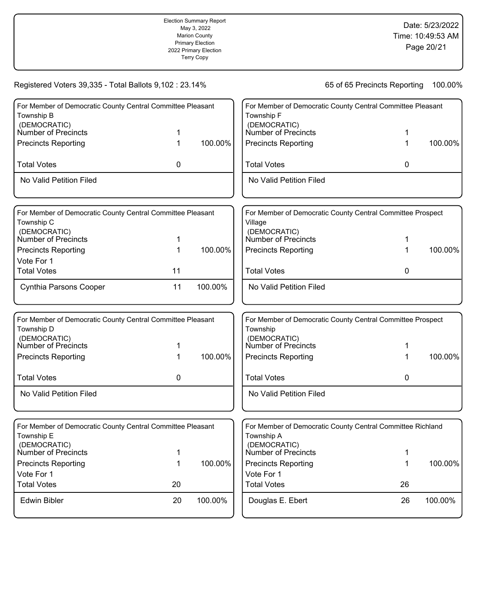|                                                                                                                                               |        | <b>Election Summary Report</b><br>May 3, 2022<br><b>Marion County</b><br><b>Primary Election</b><br>2022 Primary Election<br>Marion County's Official<br>Canvass | Date: 5/23/2022<br>Time: 10:49:53 AM<br>Page 20/21                                                                                            |                              |         |
|-----------------------------------------------------------------------------------------------------------------------------------------------|--------|------------------------------------------------------------------------------------------------------------------------------------------------------------------|-----------------------------------------------------------------------------------------------------------------------------------------------|------------------------------|---------|
| Registered Voters 39,335 - Total Ballots 9,102 : 23.14%                                                                                       |        |                                                                                                                                                                  |                                                                                                                                               | 65 of 65 Precincts Reporting | 100.00% |
| For Member of Democratic County Central Committee Pleasant<br>Township B<br>(DEMOCRATIC)<br>Number of Precincts<br><b>Precincts Reporting</b> | 1<br>1 | 100.00%                                                                                                                                                          | For Member of Democratic County Central Committee Pleasant<br>Township F<br>(DEMOCRATIC)<br>Number of Precincts<br><b>Precincts Reporting</b> | 1<br>1                       | 100.00% |
| <b>Total Votes</b>                                                                                                                            | 0      |                                                                                                                                                                  | <b>Total Votes</b>                                                                                                                            | 0                            |         |
| No Valid Petition Filed                                                                                                                       |        |                                                                                                                                                                  | No Valid Petition Filed                                                                                                                       |                              |         |
| For Member of Democratic County Central Committee Pleasant<br>Township C<br>(DEMOCRATIC)<br><b>Number of Precincts</b>                        | 1      |                                                                                                                                                                  | For Member of Democratic County Central Committee Prospect<br>Village<br>(DEMOCRATIC)<br>Number of Precincts                                  | 1                            |         |
| <b>Precincts Reporting</b>                                                                                                                    | 1      | 100.00%                                                                                                                                                          | <b>Precincts Reporting</b>                                                                                                                    | 1                            | 100.00% |
| Vote For 1                                                                                                                                    |        |                                                                                                                                                                  |                                                                                                                                               |                              |         |
| <b>Total Votes</b>                                                                                                                            | 11     |                                                                                                                                                                  | <b>Total Votes</b>                                                                                                                            | 0                            |         |
| Cynthia Parsons Cooper                                                                                                                        | 11     | 100.00%                                                                                                                                                          | No Valid Petition Filed                                                                                                                       |                              |         |
| For Member of Democratic County Central Committee Pleasant<br>Township D<br>(DEMOCRATIC)<br>Number of Precincts                               | 1      |                                                                                                                                                                  | For Member of Democratic County Central Committee Prospect<br>Township<br>(DEMOCRATIC)<br>Number of Precincts                                 | 1                            |         |
| <b>Precincts Reporting</b>                                                                                                                    | 1      | 100.00%                                                                                                                                                          | <b>Precincts Reporting</b>                                                                                                                    | 1                            | 100.00% |
| <b>Total Votes</b>                                                                                                                            | 0      |                                                                                                                                                                  | <b>Total Votes</b>                                                                                                                            | 0                            |         |
| No Valid Petition Filed                                                                                                                       |        |                                                                                                                                                                  | No Valid Petition Filed                                                                                                                       |                              |         |
| For Member of Democratic County Central Committee Pleasant<br>Township E<br>(DEMOCRATIC)                                                      |        |                                                                                                                                                                  | For Member of Democratic County Central Committee Richland<br>Township A<br>(DEMOCRATIC)                                                      |                              |         |
| Number of Precincts                                                                                                                           | 1      |                                                                                                                                                                  | Number of Precincts                                                                                                                           | 1                            |         |
| <b>Precincts Reporting</b>                                                                                                                    | 1      | 100.00%                                                                                                                                                          | <b>Precincts Reporting</b>                                                                                                                    | 1                            | 100.00% |
| Vote For 1<br><b>Total Votes</b>                                                                                                              | 20     |                                                                                                                                                                  | Vote For 1<br><b>Total Votes</b>                                                                                                              | 26                           |         |
| <b>Edwin Bibler</b>                                                                                                                           | 20     | 100.00%                                                                                                                                                          | Douglas E. Ebert                                                                                                                              | 26                           | 100.00% |
|                                                                                                                                               |        |                                                                                                                                                                  |                                                                                                                                               |                              |         |